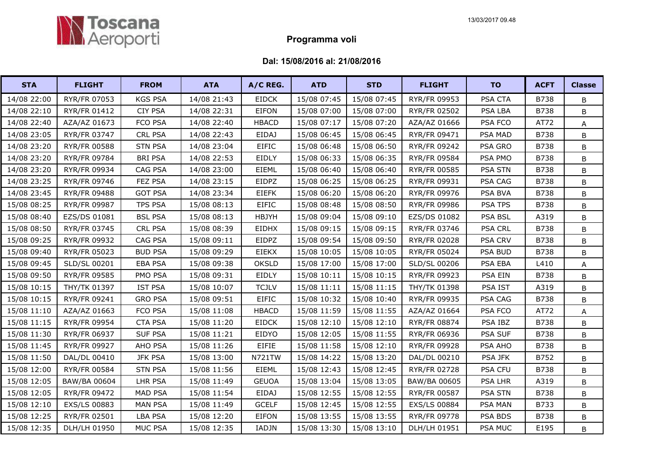

## Programma voli

## Dal: 15/08/2016 al: 21/08/2016

| <b>STA</b>  | <b>FLIGHT</b>       | <b>FROM</b>    | <b>ATA</b>  | A/C REG.      | <b>ATD</b>  | <b>STD</b>  | <b>FLIGHT</b> | <b>TO</b>      | <b>ACFT</b> | <b>Classe</b> |
|-------------|---------------------|----------------|-------------|---------------|-------------|-------------|---------------|----------------|-------------|---------------|
| 14/08 22:00 | RYR/FR 07053        | <b>KGS PSA</b> | 14/08 21:43 | <b>EIDCK</b>  | 15/08 07:45 | 15/08 07:45 | RYR/FR 09953  | PSA CTA        | <b>B738</b> | B             |
| 14/08 22:10 | RYR/FR 01412        | <b>CIY PSA</b> | 14/08 22:31 | <b>EIFON</b>  | 15/08 07:00 | 15/08 07:00 | RYR/FR 02502  | PSA LBA        | <b>B738</b> | В             |
| 14/08 22:40 | AZA/AZ 01673        | FCO PSA        | 14/08 22:40 | <b>HBACD</b>  | 15/08 07:17 | 15/08 07:20 | AZA/AZ 01666  | PSA FCO        | AT72        | Α             |
| 14/08 23:05 | RYR/FR 03747        | <b>CRL PSA</b> | 14/08 22:43 | <b>EIDAJ</b>  | 15/08 06:45 | 15/08 06:45 | RYR/FR 09471  | <b>PSA MAD</b> | <b>B738</b> | B             |
| 14/08 23:20 | <b>RYR/FR 00588</b> | <b>STN PSA</b> | 14/08 23:04 | <b>EIFIC</b>  | 15/08 06:48 | 15/08 06:50 | RYR/FR 09242  | PSA GRO        | <b>B738</b> | B             |
| 14/08 23:20 | RYR/FR 09784        | <b>BRI PSA</b> | 14/08 22:53 | EIDLY         | 15/08 06:33 | 15/08 06:35 | RYR/FR 09584  | PSA PMO        | <b>B738</b> | В             |
| 14/08 23:20 | RYR/FR 09934        | CAG PSA        | 14/08 23:00 | EIEML         | 15/08 06:40 | 15/08 06:40 | RYR/FR 00585  | PSA STN        | B738        | B             |
| 14/08 23:25 | RYR/FR 09746        | FEZ PSA        | 14/08 23:15 | <b>EIDPZ</b>  | 15/08 06:25 | 15/08 06:25 | RYR/FR 09931  | PSA CAG        | <b>B738</b> | B             |
| 14/08 23:45 | RYR/FR 09488        | <b>GOT PSA</b> | 14/08 23:34 | <b>EIEFK</b>  | 15/08 06:20 | 15/08 06:20 | RYR/FR 09976  | PSA BVA        | <b>B738</b> | B             |
| 15/08 08:25 | RYR/FR 09987        | <b>TPS PSA</b> | 15/08 08:13 | <b>EIFIC</b>  | 15/08 08:48 | 15/08 08:50 | RYR/FR 09986  | <b>PSA TPS</b> | <b>B738</b> | B             |
| 15/08 08:40 | EZS/DS 01081        | <b>BSL PSA</b> | 15/08 08:13 | <b>HBJYH</b>  | 15/08 09:04 | 15/08 09:10 | EZS/DS 01082  | PSA BSL        | A319        | B             |
| 15/08 08:50 | RYR/FR 03745        | <b>CRL PSA</b> | 15/08 08:39 | <b>EIDHX</b>  | 15/08 09:15 | 15/08 09:15 | RYR/FR 03746  | <b>PSA CRL</b> | B738        | B             |
| 15/08 09:25 | RYR/FR 09932        | CAG PSA        | 15/08 09:11 | EIDPZ         | 15/08 09:54 | 15/08 09:50 | RYR/FR 02028  | <b>PSA CRV</b> | <b>B738</b> | B             |
| 15/08 09:40 | RYR/FR 05023        | <b>BUD PSA</b> | 15/08 09:29 | <b>EIEKX</b>  | 15/08 10:05 | 15/08 10:05 | RYR/FR 05024  | PSA BUD        | <b>B738</b> | B             |
| 15/08 09:45 | SLD/SL 00201        | <b>EBA PSA</b> | 15/08 09:38 | <b>OKSLD</b>  | 15/08 17:00 | 15/08 17:00 | SLD/SL 00206  | PSA EBA        | L410        | A             |
| 15/08 09:50 | RYR/FR 09585        | PMO PSA        | 15/08 09:31 | EIDLY         | 15/08 10:11 | 15/08 10:15 | RYR/FR 09923  | PSA EIN        | B738        | B             |
| 15/08 10:15 | THY/TK 01397        | <b>IST PSA</b> | 15/08 10:07 | <b>TCJLV</b>  | 15/08 11:11 | 15/08 11:15 | THY/TK 01398  | PSA IST        | A319        | B             |
| 15/08 10:15 | RYR/FR 09241        | <b>GRO PSA</b> | 15/08 09:51 | <b>EIFIC</b>  | 15/08 10:32 | 15/08 10:40 | RYR/FR 09935  | PSA CAG        | B738        | B             |
| 15/08 11:10 | AZA/AZ 01663        | FCO PSA        | 15/08 11:08 | <b>HBACD</b>  | 15/08 11:59 | 15/08 11:55 | AZA/AZ 01664  | PSA FCO        | AT72        | A             |
| 15/08 11:15 | RYR/FR 09954        | <b>CTA PSA</b> | 15/08 11:20 | <b>EIDCK</b>  | 15/08 12:10 | 15/08 12:10 | RYR/FR 08874  | PSA IBZ        | B738        | B             |
| 15/08 11:30 | RYR/FR 06937        | <b>SUF PSA</b> | 15/08 11:21 | EIDYO         | 15/08 12:05 | 15/08 11:55 | RYR/FR 06936  | <b>PSA SUF</b> | <b>B738</b> | B             |
| 15/08 11:45 | RYR/FR 09927        | AHO PSA        | 15/08 11:26 | <b>EIFIE</b>  | 15/08 11:58 | 15/08 12:10 | RYR/FR 09928  | PSA AHO        | B738        | B             |
| 15/08 11:50 | DAL/DL 00410        | <b>JFK PSA</b> | 15/08 13:00 | <b>N721TW</b> | 15/08 14:22 | 15/08 13:20 | DAL/DL 00210  | PSA JFK        | B752        | B             |
| 15/08 12:00 | <b>RYR/FR 00584</b> | <b>STN PSA</b> | 15/08 11:56 | EIEML         | 15/08 12:43 | 15/08 12:45 | RYR/FR 02728  | <b>PSA CFU</b> | B738        | B             |
| 15/08 12:05 | <b>BAW/BA 00604</b> | LHR PSA        | 15/08 11:49 | <b>GEUOA</b>  | 15/08 13:04 | 15/08 13:05 | BAW/BA 00605  | PSA LHR        | A319        | В             |
| 15/08 12:05 | RYR/FR 09472        | <b>MAD PSA</b> | 15/08 11:54 | <b>EIDAJ</b>  | 15/08 12:55 | 15/08 12:55 | RYR/FR 00587  | PSA STN        | B738        | B             |
| 15/08 12:10 | EXS/LS 00883        | <b>MAN PSA</b> | 15/08 11:49 | <b>GCELF</b>  | 15/08 12:45 | 15/08 12:55 | EXS/LS 00884  | PSA MAN        | B733        | B             |
| 15/08 12:25 | RYR/FR 02501        | <b>LBA PSA</b> | 15/08 12:20 | <b>EIFON</b>  | 15/08 13:55 | 15/08 13:55 | RYR/FR 09778  | PSA BDS        | B738        | B             |
| 15/08 12:35 | DLH/LH 01950        | <b>MUC PSA</b> | 15/08 12:35 | IADJN         | 15/08 13:30 | 15/08 13:10 | DLH/LH 01951  | PSA MUC        | E195        | B             |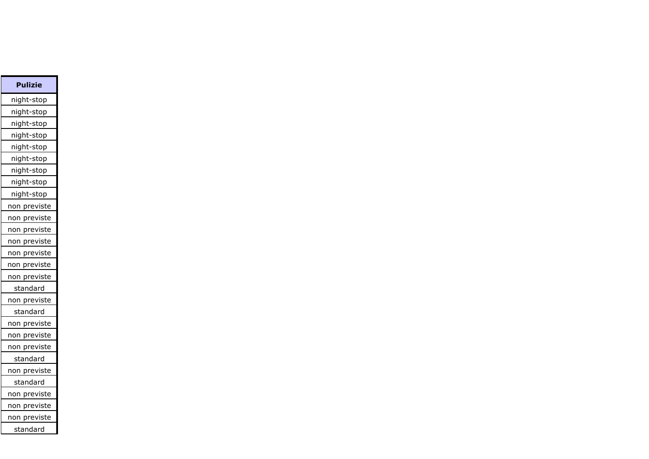| Pulizie                |
|------------------------|
| night-stop             |
| night-stop             |
| night-stop             |
| night-stop             |
| night-stop             |
| night-stop             |
| night-stop             |
| night-stop             |
| night-stop             |
| non previste           |
| non previste           |
| <u>previste</u><br>non |
| non previste           |
| previste<br>non        |
| previste<br>non        |
| non previste           |
| standard               |
| non previste           |
| standard               |
| non previste           |
| non previste           |
| non previste           |
| standard               |
| non previste           |
| <u>standard</u>        |
| non previste           |
| non previste           |
| non previste           |
| standard               |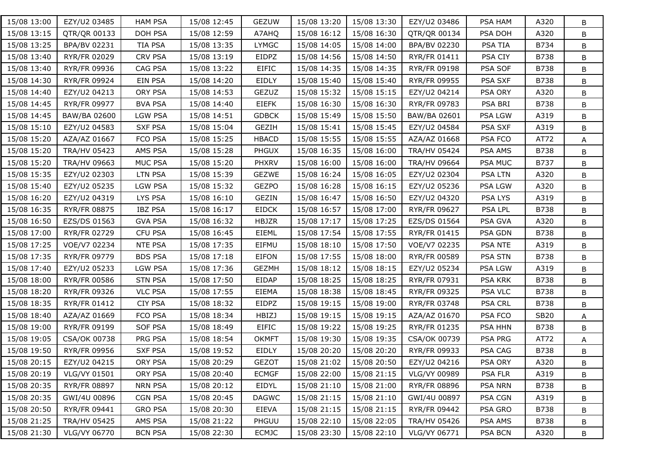| 15/08 13:00 | EZY/U2 03485        | <b>HAM PSA</b> | 15/08 12:45 | GEZUW        | 15/08 13:20 | 15/08 13:30 | EZY/U2 03486        | PSA HAM        | A320        | B |
|-------------|---------------------|----------------|-------------|--------------|-------------|-------------|---------------------|----------------|-------------|---|
| 15/08 13:15 | QTR/QR 00133        | <b>DOH PSA</b> | 15/08 12:59 | A7AHQ        | 15/08 16:12 | 15/08 16:30 | QTR/QR 00134        | PSA DOH        | A320        | B |
| 15/08 13:25 | BPA/BV 02231        | <b>TIA PSA</b> | 15/08 13:35 | <b>LYMGC</b> | 15/08 14:05 | 15/08 14:00 | BPA/BV 02230        | <b>PSA TIA</b> | B734        | B |
| 15/08 13:40 | RYR/FR 02029        | <b>CRV PSA</b> | 15/08 13:19 | EIDPZ        | 15/08 14:56 | 15/08 14:50 | <b>RYR/FR 01411</b> | PSA CIY        | <b>B738</b> | В |
| 15/08 13:40 | RYR/FR 09936        | CAG PSA        | 15/08 13:22 | <b>EIFIC</b> | 15/08 14:35 | 15/08 14:35 | RYR/FR 09198        | PSA SOF        | B738        | B |
| 15/08 14:30 | RYR/FR 09924        | <b>EIN PSA</b> | 15/08 14:20 | EIDLY        | 15/08 15:40 | 15/08 15:40 | RYR/FR 09955        | PSA SXF        | B738        | B |
| 15/08 14:40 | EZY/U2 04213        | ORY PSA        | 15/08 14:53 | GEZUZ        | 15/08 15:32 | 15/08 15:15 | EZY/U2 04214        | PSA ORY        | A320        | B |
| 15/08 14:45 | RYR/FR 09977        | <b>BVA PSA</b> | 15/08 14:40 | <b>EIEFK</b> | 15/08 16:30 | 15/08 16:30 | RYR/FR 09783        | PSA BRI        | B738        | B |
| 15/08 14:45 | BAW/BA 02600        | <b>LGW PSA</b> | 15/08 14:51 | <b>GDBCK</b> | 15/08 15:49 | 15/08 15:50 | BAW/BA 02601        | <b>PSA LGW</b> | A319        | B |
| 15/08 15:10 | EZY/U2 04583        | <b>SXF PSA</b> | 15/08 15:04 | <b>GEZIH</b> | 15/08 15:41 | 15/08 15:45 | EZY/U2 04584        | PSA SXF        | A319        | B |
| 15/08 15:20 | AZA/AZ 01667        | FCO PSA        | 15/08 15:25 | <b>HBACD</b> | 15/08 15:55 | 15/08 15:55 | AZA/AZ 01668        | PSA FCO        | AT72        | A |
| 15/08 15:20 | <b>TRA/HV 05423</b> | AMS PSA        | 15/08 15:28 | <b>PHGUX</b> | 15/08 16:35 | 15/08 16:00 | <b>TRA/HV 05424</b> | PSA AMS        | B738        | B |
| 15/08 15:20 | TRA/HV 09663        | MUC PSA        | 15/08 15:20 | <b>PHXRV</b> | 15/08 16:00 | 15/08 16:00 | <b>TRA/HV 09664</b> | PSA MUC        | B737        | B |
| 15/08 15:35 | EZY/U2 02303        | <b>LTN PSA</b> | 15/08 15:39 | <b>GEZWE</b> | 15/08 16:24 | 15/08 16:05 | EZY/U2 02304        | PSA LTN        | A320        | B |
| 15/08 15:40 | EZY/U2 05235        | LGW PSA        | 15/08 15:32 | <b>GEZPO</b> | 15/08 16:28 | 15/08 16:15 | EZY/U2 05236        | PSA LGW        | A320        | B |
| 15/08 16:20 | EZY/U2 04319        | LYS PSA        | 15/08 16:10 | GEZIN        | 15/08 16:47 | 15/08 16:50 | EZY/U2 04320        | PSA LYS        | A319        | B |
| 15/08 16:35 | <b>RYR/FR 08875</b> | <b>IBZ PSA</b> | 15/08 16:17 | <b>EIDCK</b> | 15/08 16:57 | 15/08 17:00 | RYR/FR 09627        | <b>PSA LPL</b> | B738        | В |
| 15/08 16:50 | EZS/DS 01563        | <b>GVA PSA</b> | 15/08 16:32 | <b>HBJZR</b> | 15/08 17:17 | 15/08 17:25 | EZS/DS 01564        | PSA GVA        | A320        | B |
| 15/08 17:00 | RYR/FR 02729        | <b>CFU PSA</b> | 15/08 16:45 | EIEML        | 15/08 17:54 | 15/08 17:55 | RYR/FR 01415        | PSA GDN        | B738        | B |
| 15/08 17:25 | VOE/V7 02234        | NTE PSA        | 15/08 17:35 | EIFMU        | 15/08 18:10 | 15/08 17:50 | VOE/V7 02235        | PSA NTE        | A319        | B |
| 15/08 17:35 | RYR/FR 09779        | <b>BDS PSA</b> | 15/08 17:18 | <b>EIFON</b> | 15/08 17:55 | 15/08 18:00 | RYR/FR 00589        | PSA STN        | B738        | B |
| 15/08 17:40 | EZY/U2 05233        | <b>LGW PSA</b> | 15/08 17:36 | <b>GEZMH</b> | 15/08 18:12 | 15/08 18:15 | EZY/U2 05234        | <b>PSA LGW</b> | A319        | B |
| 15/08 18:00 | RYR/FR 00586        | <b>STN PSA</b> | 15/08 17:50 | EIDAP        | 15/08 18:25 | 15/08 18:25 | RYR/FR 07931        | <b>PSA KRK</b> | B738        | B |
| 15/08 18:20 | RYR/FR 09326        | <b>VLC PSA</b> | 15/08 17:55 | <b>EIEMA</b> | 15/08 18:38 | 15/08 18:45 | RYR/FR 09325        | PSA VLC        | B738        | B |
| 15/08 18:35 | RYR/FR 01412        | <b>CIY PSA</b> | 15/08 18:32 | EIDPZ        | 15/08 19:15 | 15/08 19:00 | RYR/FR 03748        | <b>PSA CRL</b> | B738        | B |
| 15/08 18:40 | AZA/AZ 01669        | FCO PSA        | 15/08 18:34 | HBIZJ        | 15/08 19:15 | 15/08 19:15 | AZA/AZ 01670        | PSA FCO        | <b>SB20</b> | A |
| 15/08 19:00 | RYR/FR 09199        | <b>SOF PSA</b> | 15/08 18:49 | <b>EIFIC</b> | 15/08 19:22 | 15/08 19:25 | RYR/FR 01235        | PSA HHN        | B738        | B |
| 15/08 19:05 | CSA/OK 00738        | PRG PSA        | 15/08 18:54 | <b>OKMFT</b> | 15/08 19:30 | 15/08 19:35 | CSA/OK 00739        | PSA PRG        | AT72        | A |
| 15/08 19:50 | RYR/FR 09956        | <b>SXF PSA</b> | 15/08 19:52 | EIDLY        | 15/08 20:20 | 15/08 20:20 | RYR/FR 09933        | PSA CAG        | B738        | B |
| 15/08 20:15 | EZY/U2 04215        | ORY PSA        | 15/08 20:29 | <b>GEZOT</b> | 15/08 21:02 | 15/08 20:50 | EZY/U2 04216        | <b>PSA ORY</b> | A320        | В |
| 15/08 20:19 | VLG/VY 01501        | ORY PSA        | 15/08 20:40 | <b>ECMGF</b> | 15/08 22:00 | 15/08 21:15 | VLG/VY 00989        | PSA FLR        | A319        | B |
| 15/08 20:35 | RYR/FR 08897        | NRN PSA        | 15/08 20:12 | EIDYL        | 15/08 21:10 | 15/08 21:00 | RYR/FR 08896        | <b>PSA NRN</b> | B738        | В |
| 15/08 20:35 | GWI/4U 00896        | CGN PSA        | 15/08 20:45 | <b>DAGWC</b> | 15/08 21:15 | 15/08 21:10 | GWI/4U 00897        | PSA CGN        | A319        | В |
| 15/08 20:50 | RYR/FR 09441        | <b>GRO PSA</b> | 15/08 20:30 | EIEVA        | 15/08 21:15 | 15/08 21:15 | RYR/FR 09442        | PSA GRO        | <b>B738</b> | В |
| 15/08 21:25 | TRA/HV 05425        | AMS PSA        | 15/08 21:22 | PHGUU        | 15/08 22:10 | 15/08 22:05 | <b>TRA/HV 05426</b> | PSA AMS        | B738        | В |
| 15/08 21:30 | VLG/VY 06770        | <b>BCN PSA</b> | 15/08 22:30 | <b>ECMJC</b> | 15/08 23:30 | 15/08 22:10 | VLG/VY 06771        | PSA BCN        | A320        | В |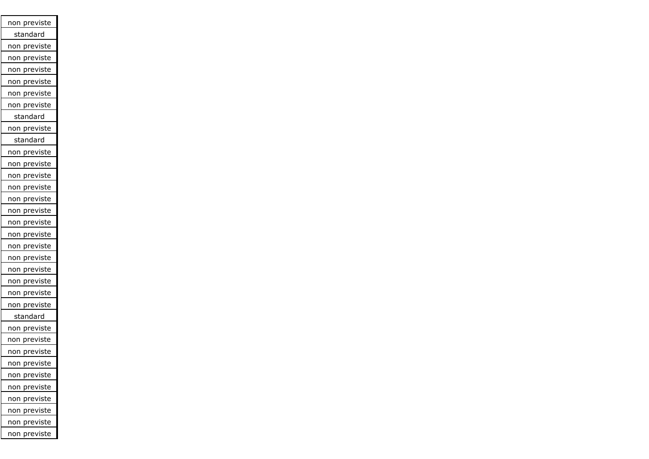| non previste            |
|-------------------------|
| standard                |
| previste<br>non         |
| previste<br>non         |
| previste<br>non         |
| previste<br>non         |
| previste<br>non         |
| non previste            |
| standard                |
| non previste            |
| standard                |
| non previste            |
| non previste            |
| previste<br>non         |
| previste<br>non         |
| previste<br>non         |
| previste<br>non         |
| previste<br>non         |
| previste<br>non         |
| previste<br>non         |
| previste<br>non         |
| <u>prev</u> iste<br>non |
| previste<br>non         |
| previste<br>non         |
| previste<br>non         |
| standard                |
| previste<br>non         |
| previste<br>non         |
| <u>pre</u> viste<br>non |
| non previste            |
| previste<br>non         |
| non previste            |
| previste<br>non         |
| non previste            |
| previste<br>non         |
| <u>previ</u> ste<br>non |
|                         |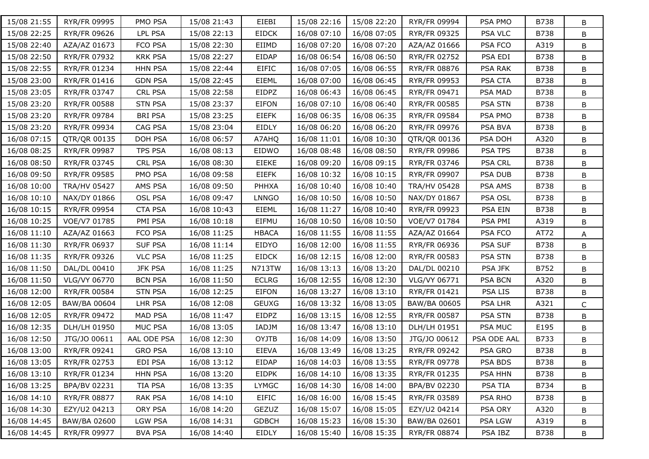| 15/08 21:55 | RYR/FR 09995        | PMO PSA        | 15/08 21:43 | EIEBI         | 15/08 22:16 | 15/08 22:20 | RYR/FR 09994        | PSA PMO        | B738        | B            |
|-------------|---------------------|----------------|-------------|---------------|-------------|-------------|---------------------|----------------|-------------|--------------|
| 15/08 22:25 | RYR/FR 09626        | LPL PSA        | 15/08 22:13 | <b>EIDCK</b>  | 16/08 07:10 | 16/08 07:05 | RYR/FR 09325        | PSA VLC        | <b>B738</b> | B            |
| 15/08 22:40 | AZA/AZ 01673        | FCO PSA        | 15/08 22:30 | EIIMD         | 16/08 07:20 | 16/08 07:20 | AZA/AZ 01666        | PSA FCO        | A319        | B            |
| 15/08 22:50 | RYR/FR 07932        | <b>KRK PSA</b> | 15/08 22:27 | EIDAP         | 16/08 06:54 | 16/08 06:50 | RYR/FR 02752        | PSA EDI        | B738        | B            |
| 15/08 22:55 | RYR/FR 01234        | <b>HHN PSA</b> | 15/08 22:44 | <b>EIFIC</b>  | 16/08 07:05 | 16/08 06:55 | RYR/FR 08876        | PSA RAK        | B738        | B            |
| 15/08 23:00 | RYR/FR 01416        | <b>GDN PSA</b> | 15/08 22:45 | EIEML         | 16/08 07:00 | 16/08 06:45 | RYR/FR 09953        | PSA CTA        | <b>B738</b> | B            |
| 15/08 23:05 | RYR/FR 03747        | CRL PSA        | 15/08 22:58 | EIDPZ         | 16/08 06:43 | 16/08 06:45 | RYR/FR 09471        | PSA MAD        | B738        | B            |
| 15/08 23:20 | <b>RYR/FR 00588</b> | <b>STN PSA</b> | 15/08 23:37 | EIFON         | 16/08 07:10 | 16/08 06:40 | RYR/FR 00585        | PSA STN        | B738        | B            |
| 15/08 23:20 | RYR/FR 09784        | <b>BRI PSA</b> | 15/08 23:25 | <b>EIEFK</b>  | 16/08 06:35 | 16/08 06:35 | <b>RYR/FR 09584</b> | PSA PMO        | B738        | B            |
| 15/08 23:20 | RYR/FR 09934        | CAG PSA        | 15/08 23:04 | EIDLY         | 16/08 06:20 | 16/08 06:20 | RYR/FR 09976        | PSA BVA        | B738        | B            |
| 16/08 07:15 | QTR/QR 00135        | DOH PSA        | 16/08 06:57 | A7AHQ         | 16/08 11:01 | 16/08 10:30 | QTR/QR 00136        | PSA DOH        | A320        | В            |
| 16/08 08:25 | RYR/FR 09987        | <b>TPS PSA</b> | 16/08 08:13 | EIDWO         | 16/08 08:48 | 16/08 08:50 | RYR/FR 09986        | PSA TPS        | B738        | B            |
| 16/08 08:50 | RYR/FR 03745        | CRL PSA        | 16/08 08:30 | EIEKE         | 16/08 09:20 | 16/08 09:15 | RYR/FR 03746        | PSA CRL        | B738        | В            |
| 16/08 09:50 | RYR/FR 09585        | PMO PSA        | 16/08 09:58 | <b>EIEFK</b>  | 16/08 10:32 | 16/08 10:15 | RYR/FR 09907        | PSA DUB        | B738        | B            |
| 16/08 10:00 | <b>TRA/HV 05427</b> | AMS PSA        | 16/08 09:50 | PHHXA         | 16/08 10:40 | 16/08 10:40 | <b>TRA/HV 05428</b> | PSA AMS        | B738        | B            |
| 16/08 10:10 | NAX/DY 01866        | <b>OSL PSA</b> | 16/08 09:47 | <b>LNNGO</b>  | 16/08 10:50 | 16/08 10:50 | NAX/DY 01867        | PSA OSL        | B738        | B            |
| 16/08 10:15 | RYR/FR 09954        | <b>CTA PSA</b> | 16/08 10:43 | EIEML         | 16/08 11:27 | 16/08 10:40 | RYR/FR 09923        | <b>PSA EIN</b> | B738        | B            |
| 16/08 10:25 | VOE/V7 01785        | PMI PSA        | 16/08 10:18 | EIFMU         | 16/08 10:50 | 16/08 10:50 | VOE/V7 01784        | PSA PMI        | A319        | B            |
| 16/08 11:10 | AZA/AZ 01663        | FCO PSA        | 16/08 11:25 | <b>HBACA</b>  | 16/08 11:55 | 16/08 11:55 | AZA/AZ 01664        | PSA FCO        | AT72        | A            |
| 16/08 11:30 | RYR/FR 06937        | <b>SUF PSA</b> | 16/08 11:14 | EIDYO         | 16/08 12:00 | 16/08 11:55 | RYR/FR 06936        | PSA SUF        | <b>B738</b> | B            |
| 16/08 11:35 | RYR/FR 09326        | <b>VLC PSA</b> | 16/08 11:25 | <b>EIDCK</b>  | 16/08 12:15 | 16/08 12:00 | RYR/FR 00583        | PSA STN        | B738        | B            |
| 16/08 11:50 | DAL/DL 00410        | <b>JFK PSA</b> | 16/08 11:25 | <b>N713TW</b> | 16/08 13:13 | 16/08 13:20 | DAL/DL 00210        | PSA JFK        | B752        | B            |
| 16/08 11:50 | VLG/VY 06770        | <b>BCN PSA</b> | 16/08 11:50 | <b>ECLRG</b>  | 16/08 12:55 | 16/08 12:30 | VLG/VY 06771        | PSA BCN        | A320        | B            |
| 16/08 12:00 | RYR/FR 00584        | <b>STN PSA</b> | 16/08 12:25 | EIFON         | 16/08 13:27 | 16/08 13:10 | RYR/FR 01421        | PSA LIS        | <b>B738</b> | B            |
| 16/08 12:05 | <b>BAW/BA 00604</b> | LHR PSA        | 16/08 12:08 | <b>GEUXG</b>  | 16/08 13:32 | 16/08 13:05 | BAW/BA 00605        | PSA LHR        | A321        | $\mathsf{C}$ |
| 16/08 12:05 | RYR/FR 09472        | <b>MAD PSA</b> | 16/08 11:47 | EIDPZ         | 16/08 13:15 | 16/08 12:55 | RYR/FR 00587        | PSA STN        | B738        | B            |
| 16/08 12:35 | DLH/LH 01950        | MUC PSA        | 16/08 13:05 | IADJM         | 16/08 13:47 | 16/08 13:10 | DLH/LH 01951        | PSA MUC        | E195        | B            |
| 16/08 12:50 | JTG/JO 00611        | AAL ODE PSA    | 16/08 12:30 | <b>OYJTB</b>  | 16/08 14:09 | 16/08 13:50 | JTG/JO 00612        | PSA ODE AAL    | B733        | B            |
| 16/08 13:00 | RYR/FR 09241        | <b>GRO PSA</b> | 16/08 13:10 | <b>EIEVA</b>  | 16/08 13:49 | 16/08 13:25 | RYR/FR 09242        | PSA GRO        | B738        | B            |
| 16/08 13:05 | RYR/FR 02753        | EDI PSA        | 16/08 13:12 | EIDAP         | 16/08 14:03 | 16/08 13:55 | RYR/FR 09778        | PSA BDS        | B738        | В            |
| 16/08 13:10 | RYR/FR 01234        | <b>HHN PSA</b> | 16/08 13:20 | <b>EIDPK</b>  | 16/08 14:10 | 16/08 13:35 | RYR/FR 01235        | PSA HHN        | B738        | B            |
| 16/08 13:25 | BPA/BV 02231        | TIA PSA        | 16/08 13:35 | <b>LYMGC</b>  | 16/08 14:30 | 16/08 14:00 | BPA/BV 02230        | PSA TIA        | B734        | B            |
| 16/08 14:10 | RYR/FR 08877        | RAK PSA        | 16/08 14:10 | EIFIC         | 16/08 16:00 | 16/08 15:45 | RYR/FR 03589        | PSA RHO        | <b>B738</b> | B            |
| 16/08 14:30 | EZY/U2 04213        | ORY PSA        | 16/08 14:20 | <b>GEZUZ</b>  | 16/08 15:07 | 16/08 15:05 | EZY/U2 04214        | PSA ORY        | A320        | B            |
| 16/08 14:45 | BAW/BA 02600        | LGW PSA        | 16/08 14:31 | <b>GDBCH</b>  | 16/08 15:23 | 16/08 15:30 | BAW/BA 02601        | <b>PSA LGW</b> | A319        | В            |
| 16/08 14:45 | RYR/FR 09977        | <b>BVA PSA</b> | 16/08 14:40 | EIDLY         | 16/08 15:40 | 16/08 15:35 | RYR/FR 08874        | PSA IBZ        | B738        | В            |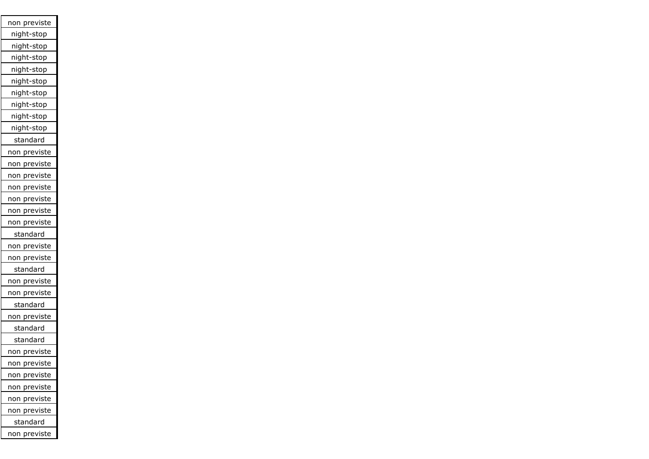| non previste        |
|---------------------|
| night-stop          |
| night-stop          |
| night-stop          |
| night-stop          |
| night-stop          |
| night-stop          |
| night-stop          |
| night-stop          |
| night-stop          |
| standard            |
| <u>non previste</u> |
| non previste        |
| previste<br>non     |
| non previste        |
| previste<br>non     |
| non previste        |
| non previste        |
| standard            |
| non previste        |
| non previste        |
| standard            |
| non previste        |
| non previste        |
| standard            |
| non previste        |
| standard            |
| standard            |
| non previste        |
| non previste        |
| previste<br>non     |
| previste<br>non     |
| previste<br>non     |
| non previste        |
| standard            |
| ion previste<br>r   |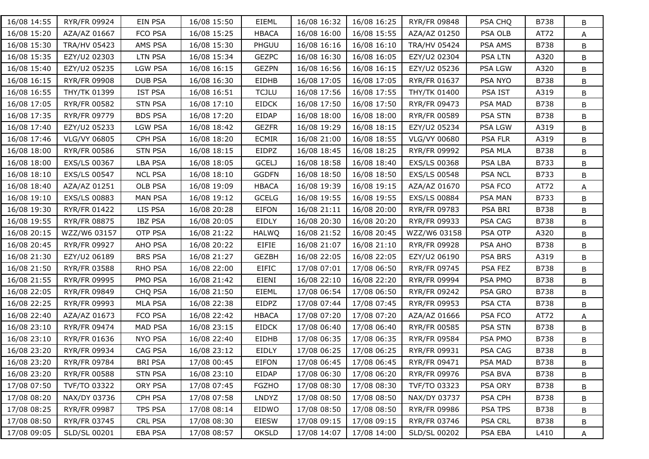| 16/08 14:55 | RYR/FR 09924        | EIN PSA        | 16/08 15:50 | <b>EIEML</b> | 16/08 16:32 | 16/08 16:25 | RYR/FR 09848        | PSA CHQ        | B738        | B |
|-------------|---------------------|----------------|-------------|--------------|-------------|-------------|---------------------|----------------|-------------|---|
| 16/08 15:20 | AZA/AZ 01667        | FCO PSA        | 16/08 15:25 | <b>HBACA</b> | 16/08 16:00 | 16/08 15:55 | AZA/AZ 01250        | PSA OLB        | AT72        | A |
| 16/08 15:30 | <b>TRA/HV 05423</b> | AMS PSA        | 16/08 15:30 | PHGUU        | 16/08 16:16 | 16/08 16:10 | <b>TRA/HV 05424</b> | PSA AMS        | B738        | B |
| 16/08 15:35 | EZY/U2 02303        | <b>LTN PSA</b> | 16/08 15:34 | <b>GEZPC</b> | 16/08 16:30 | 16/08 16:05 | EZY/U2 02304        | <b>PSA LTN</b> | A320        | B |
| 16/08 15:40 | EZY/U2 05235        | <b>LGW PSA</b> | 16/08 16:15 | <b>GEZPN</b> | 16/08 16:56 | 16/08 16:15 | EZY/U2 05236        | PSA LGW        | A320        | B |
| 16/08 16:15 | RYR/FR 09908        | <b>DUB PSA</b> | 16/08 16:30 | <b>EIDHB</b> | 16/08 17:05 | 16/08 17:05 | RYR/FR 01637        | <b>PSA NYO</b> | B738        | B |
| 16/08 16:55 | THY/TK 01399        | <b>IST PSA</b> | 16/08 16:51 | <b>TCJLU</b> | 16/08 17:56 | 16/08 17:55 | THY/TK 01400        | PSA IST        | A319        | B |
| 16/08 17:05 | <b>RYR/FR 00582</b> | <b>STN PSA</b> | 16/08 17:10 | <b>EIDCK</b> | 16/08 17:50 | 16/08 17:50 | RYR/FR 09473        | PSA MAD        | B738        | B |
| 16/08 17:35 | RYR/FR 09779        | <b>BDS PSA</b> | 16/08 17:20 | EIDAP        | 16/08 18:00 | 16/08 18:00 | RYR/FR 00589        | PSA STN        | <b>B738</b> | B |
| 16/08 17:40 | EZY/U2 05233        | <b>LGW PSA</b> | 16/08 18:42 | <b>GEZFR</b> | 16/08 19:29 | 16/08 18:15 | EZY/U2 05234        | PSA LGW        | A319        | B |
| 16/08 17:46 | VLG/VY 06805        | CPH PSA        | 16/08 18:20 | <b>ECMIR</b> | 16/08 21:00 | 16/08 18:55 | VLG/VY 00680        | PSA FLR        | A319        | B |
| 16/08 18:00 | RYR/FR 00586        | <b>STN PSA</b> | 16/08 18:15 | EIDPZ        | 16/08 18:45 | 16/08 18:25 | RYR/FR 09992        | PSA MLA        | B738        | B |
| 16/08 18:00 | EXS/LS 00367        | <b>LBA PSA</b> | 16/08 18:05 | <b>GCELJ</b> | 16/08 18:58 | 16/08 18:40 | EXS/LS 00368        | PSA LBA        | B733        | B |
| 16/08 18:10 | EXS/LS 00547        | <b>NCL PSA</b> | 16/08 18:10 | <b>GGDFN</b> | 16/08 18:50 | 16/08 18:50 | EXS/LS 00548        | <b>PSA NCL</b> | B733        | B |
| 16/08 18:40 | AZA/AZ 01251        | OLB PSA        | 16/08 19:09 | <b>HBACA</b> | 16/08 19:39 | 16/08 19:15 | AZA/AZ 01670        | PSA FCO        | AT72        | A |
| 16/08 19:10 | EXS/LS 00883        | <b>MAN PSA</b> | 16/08 19:12 | <b>GCELG</b> | 16/08 19:55 | 16/08 19:55 | EXS/LS 00884        | PSA MAN        | B733        | B |
| 16/08 19:30 | RYR/FR 01422        | LIS PSA        | 16/08 20:28 | <b>EIFON</b> | 16/08 21:11 | 16/08 20:00 | RYR/FR 09783        | PSA BRI        | <b>B738</b> | B |
| 16/08 19:55 | RYR/FR 08875        | <b>IBZ PSA</b> | 16/08 20:05 | EIDLY        | 16/08 20:30 | 16/08 20:20 | RYR/FR 09933        | PSA CAG        | <b>B738</b> | B |
| 16/08 20:15 | WZZ/W6 03157        | OTP PSA        | 16/08 21:22 | <b>HALWQ</b> | 16/08 21:52 | 16/08 20:45 | WZZ/W6 03158        | PSA OTP        | A320        | B |
| 16/08 20:45 | RYR/FR 09927        | AHO PSA        | 16/08 20:22 | <b>EIFIE</b> | 16/08 21:07 | 16/08 21:10 | RYR/FR 09928        | PSA AHO        | <b>B738</b> | B |
| 16/08 21:30 | EZY/U2 06189        | <b>BRS PSA</b> | 16/08 21:27 | <b>GEZBH</b> | 16/08 22:05 | 16/08 22:05 | EZY/U2 06190        | PSA BRS        | A319        | B |
| 16/08 21:50 | RYR/FR 03588        | RHO PSA        | 16/08 22:00 | <b>EIFIC</b> | 17/08 07:01 | 17/08 06:50 | RYR/FR 09745        | PSA FEZ        | B738        | B |
| 16/08 21:55 | RYR/FR 09995        | PMO PSA        | 16/08 21:42 | EIENI        | 16/08 22:10 | 16/08 22:20 | RYR/FR 09994        | PSA PMO        | B738        | B |
| 16/08 22:05 | RYR/FR 09849        | CHQ PSA        | 16/08 21:50 | EIEML        | 17/08 06:54 | 17/08 06:50 | RYR/FR 09242        | PSA GRO        | <b>B738</b> | B |
| 16/08 22:25 | RYR/FR 09993        | <b>MLA PSA</b> | 16/08 22:38 | EIDPZ        | 17/08 07:44 | 17/08 07:45 | RYR/FR 09953        | PSA CTA        | B738        | B |
| 16/08 22:40 | AZA/AZ 01673        | FCO PSA        | 16/08 22:42 | <b>HBACA</b> | 17/08 07:20 | 17/08 07:20 | AZA/AZ 01666        | PSA FCO        | AT72        | A |
| 16/08 23:10 | RYR/FR 09474        | <b>MAD PSA</b> | 16/08 23:15 | <b>EIDCK</b> | 17/08 06:40 | 17/08 06:40 | RYR/FR 00585        | <b>PSA STN</b> | B738        | B |
| 16/08 23:10 | RYR/FR 01636        | <b>NYO PSA</b> | 16/08 22:40 | <b>EIDHB</b> | 17/08 06:35 | 17/08 06:35 | <b>RYR/FR 09584</b> | PSA PMO        | <b>B738</b> | B |
| 16/08 23:20 | RYR/FR 09934        | CAG PSA        | 16/08 23:12 | EIDLY        | 17/08 06:25 | 17/08 06:25 | RYR/FR 09931        | PSA CAG        | <b>B738</b> | B |
| 16/08 23:20 | RYR/FR 09784        | <b>BRI PSA</b> | 17/08 00:45 | EIFON        | 17/08 06:45 | 17/08 06:45 | RYR/FR 09471        | <b>PSA MAD</b> | B738        | B |
| 16/08 23:20 | RYR/FR 00588        | <b>STN PSA</b> | 16/08 23:10 | EIDAP        | 17/08 06:30 | 17/08 06:20 | RYR/FR 09976        | PSA BVA        | B738        | B |
| 17/08 07:50 | TVF/TO 03322        | ORY PSA        | 17/08 07:45 | <b>FGZHO</b> | 17/08 08:30 | 17/08 08:30 | TVF/TO 03323        | PSA ORY        | B738        | B |
| 17/08 08:20 | NAX/DY 03736        | CPH PSA        | 17/08 07:58 | LNDYZ        | 17/08 08:50 | 17/08 08:50 | NAX/DY 03737        | PSA CPH        | <b>B738</b> | B |
| 17/08 08:25 | RYR/FR 09987        | TPS PSA        | 17/08 08:14 | EIDWO        | 17/08 08:50 | 17/08 08:50 | RYR/FR 09986        | <b>PSA TPS</b> | B738        | B |
| 17/08 08:50 | RYR/FR 03745        | CRL PSA        | 17/08 08:30 | EIESW        | 17/08 09:15 | 17/08 09:15 | RYR/FR 03746        | <b>PSA CRL</b> | B738        | B |
| 17/08 09:05 | SLD/SL 00201        | EBA PSA        | 17/08 08:57 | <b>OKSLD</b> | 17/08 14:07 | 17/08 14:00 | SLD/SL 00202        | PSA EBA        | L410        | A |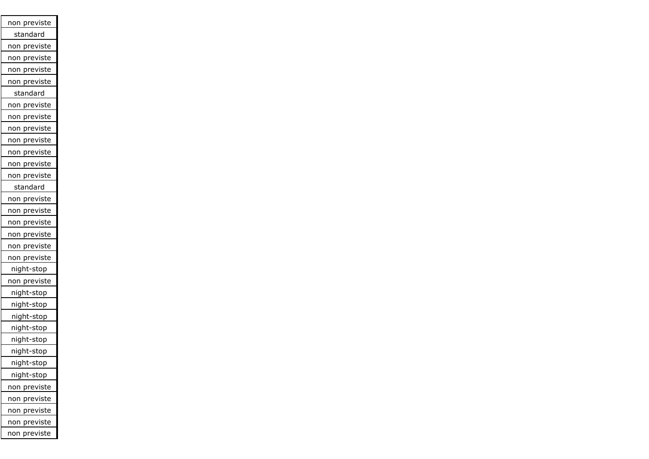| non previste           |
|------------------------|
| <u>stan</u> dard       |
| previste<br>non        |
| previste<br>non        |
| previste<br>non        |
| previste<br>non        |
| standard               |
| previste<br>non        |
| previste<br>non        |
| previste<br>non        |
| previste<br>non        |
| previste<br>non        |
| <u>previste</u><br>non |
| previste<br>non        |
| standard               |
| previste<br>non        |
| previste<br>non        |
| previste<br>non        |
| non previste           |
| non previste           |
| previste<br>non        |
| night-stop             |
| non previste           |
| night-stop             |
| night-stop             |
| night-stop             |
| night-stop             |
| night-stop             |
| night-stop             |
| night-stop             |
| night-stop             |
| previste<br>non        |
| previste<br>non        |
| previste<br><u>non</u> |
| previste<br>non        |
| previste<br>non        |
|                        |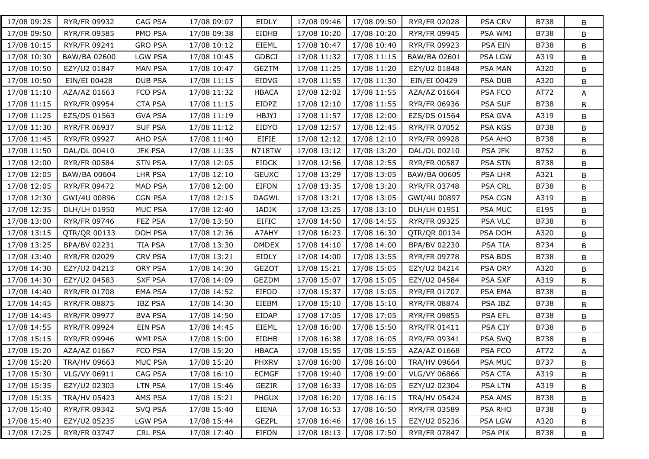| 17/08 09:25 | RYR/FR 09932        | CAG PSA        | 17/08 09:07 | EIDLY         | 17/08 09:46 | 17/08 09:50 | RYR/FR 02028 | PSA CRV        | B738        | B |
|-------------|---------------------|----------------|-------------|---------------|-------------|-------------|--------------|----------------|-------------|---|
| 17/08 09:50 | RYR/FR 09585        | PMO PSA        | 17/08 09:38 | EIDHB         | 17/08 10:20 | 17/08 10:20 | RYR/FR 09945 | PSA WMI        | B738        | B |
| 17/08 10:15 | RYR/FR 09241        | <b>GRO PSA</b> | 17/08 10:12 | <b>EIEML</b>  | 17/08 10:47 | 17/08 10:40 | RYR/FR 09923 | PSA EIN        | B738        | B |
| 17/08 10:30 | BAW/BA 02600        | <b>LGW PSA</b> | 17/08 10:45 | <b>GDBCI</b>  | 17/08 11:32 | 17/08 11:15 | BAW/BA 02601 | PSA LGW        | A319        | В |
| 17/08 10:50 | EZY/U2 01847        | <b>MAN PSA</b> | 17/08 10:47 | <b>GEZTM</b>  | 17/08 11:25 | 17/08 11:20 | EZY/U2 01848 | PSA MAN        | A320        | B |
| 17/08 10:50 | EIN/EI 00428        | <b>DUB PSA</b> | 17/08 11:15 | EIDVG         | 17/08 11:55 | 17/08 11:30 | EIN/EI 00429 | PSA DUB        | A320        | B |
| 17/08 11:10 | AZA/AZ 01663        | FCO PSA        | 17/08 11:32 | <b>HBACA</b>  | 17/08 12:02 | 17/08 11:55 | AZA/AZ 01664 | PSA FCO        | AT72        | A |
| 17/08 11:15 | RYR/FR 09954        | <b>CTA PSA</b> | 17/08 11:15 | EIDPZ         | 17/08 12:10 | 17/08 11:55 | RYR/FR 06936 | PSA SUF        | B738        | B |
| 17/08 11:25 | EZS/DS 01563        | <b>GVA PSA</b> | 17/08 11:19 | HBJYJ         | 17/08 11:57 | 17/08 12:00 | EZS/DS 01564 | PSA GVA        | A319        | B |
| 17/08 11:30 | RYR/FR 06937        | <b>SUF PSA</b> | 17/08 11:12 | EIDYO         | 17/08 12:57 | 17/08 12:45 | RYR/FR 07052 | PSA KGS        | B738        | B |
| 17/08 11:45 | RYR/FR 09927        | AHO PSA        | 17/08 11:40 | EIFIE         | 17/08 12:12 | 17/08 12:10 | RYR/FR 09928 | PSA AHO        | B738        | B |
| 17/08 11:50 | DAL/DL 00410        | <b>JFK PSA</b> | 17/08 11:35 | <b>N718TW</b> | 17/08 13:12 | 17/08 13:20 | DAL/DL 00210 | PSA JFK        | B752        | B |
| 17/08 12:00 | RYR/FR 00584        | <b>STN PSA</b> | 17/08 12:05 | <b>EIDCK</b>  | 17/08 12:56 | 17/08 12:55 | RYR/FR 00587 | PSA STN        | B738        | B |
| 17/08 12:05 | <b>BAW/BA 00604</b> | LHR PSA        | 17/08 12:10 | <b>GEUXC</b>  | 17/08 13:29 | 17/08 13:05 | BAW/BA 00605 | PSA LHR        | A321        | B |
| 17/08 12:05 | RYR/FR 09472        | MAD PSA        | 17/08 12:00 | EIFON         | 17/08 13:35 | 17/08 13:20 | RYR/FR 03748 | PSA CRL        | B738        | B |
| 17/08 12:30 | GWI/4U 00896        | <b>CGN PSA</b> | 17/08 12:15 | <b>DAGWL</b>  | 17/08 13:21 | 17/08 13:05 | GWI/4U 00897 | PSA CGN        | A319        | B |
| 17/08 12:35 | DLH/LH 01950        | MUC PSA        | 17/08 12:40 | IADJK         | 17/08 13:25 | 17/08 13:10 | DLH/LH 01951 | PSA MUC        | E195        | B |
| 17/08 13:00 | RYR/FR 09746        | FEZ PSA        | 17/08 13:50 | <b>EIFIC</b>  | 17/08 14:50 | 17/08 14:55 | RYR/FR 09325 | PSA VLC        | B738        | B |
| 17/08 13:15 | QTR/QR 00133        | DOH PSA        | 17/08 12:36 | A7AHY         | 17/08 16:23 | 17/08 16:30 | QTR/QR 00134 | PSA DOH        | A320        | B |
| 17/08 13:25 | BPA/BV 02231        | TIA PSA        | 17/08 13:30 | OMDEX         | 17/08 14:10 | 17/08 14:00 | BPA/BV 02230 | PSA TIA        | B734        | B |
| 17/08 13:40 | RYR/FR 02029        | <b>CRV PSA</b> | 17/08 13:21 | EIDLY         | 17/08 14:00 | 17/08 13:55 | RYR/FR 09778 | PSA BDS        | <b>B738</b> | B |
| 17/08 14:30 | EZY/U2 04213        | ORY PSA        | 17/08 14:30 | <b>GEZOT</b>  | 17/08 15:21 | 17/08 15:05 | EZY/U2 04214 | PSA ORY        | A320        | B |
| 17/08 14:30 | EZY/U2 04583        | <b>SXF PSA</b> | 17/08 14:09 | GEZDM         | 17/08 15:07 | 17/08 15:05 | EZY/U2 04584 | PSA SXF        | A319        | B |
| 17/08 14:40 | RYR/FR 01708        | <b>EMA PSA</b> | 17/08 14:52 | <b>EIFOD</b>  | 17/08 15:37 | 17/08 15:05 | RYR/FR 01707 | PSA EMA        | <b>B738</b> | B |
| 17/08 14:45 | RYR/FR 08875        | <b>IBZ PSA</b> | 17/08 14:30 | EIEBM         | 17/08 15:10 | 17/08 15:10 | RYR/FR 08874 | PSA IBZ        | B738        | B |
| 17/08 14:45 | RYR/FR 09977        | <b>BVA PSA</b> | 17/08 14:50 | EIDAP         | 17/08 17:05 | 17/08 17:05 | RYR/FR 09855 | PSA EFL        | B738        | B |
| 17/08 14:55 | RYR/FR 09924        | EIN PSA        | 17/08 14:45 | EIEML         | 17/08 16:00 | 17/08 15:50 | RYR/FR 01411 | PSA CIY        | B738        | B |
| 17/08 15:15 | RYR/FR 09946        | WMI PSA        | 17/08 15:00 | <b>EIDHB</b>  | 17/08 16:38 | 17/08 16:05 | RYR/FR 09341 | PSA SVQ        | <b>B738</b> | B |
| 17/08 15:20 | AZA/AZ 01667        | FCO PSA        | 17/08 15:20 | <b>HBACA</b>  | 17/08 15:55 | 17/08 15:55 | AZA/AZ 01668 | PSA FCO        | AT72        | A |
| 17/08 15:20 | TRA/HV 09663        | MUC PSA        | 17/08 15:20 | <b>PHXRV</b>  | 17/08 16:00 | 17/08 16:00 | TRA/HV 09664 | <b>PSA MUC</b> | B737        | В |
| 17/08 15:30 | VLG/VY 06911        | CAG PSA        | 17/08 16:10 | <b>ECMGF</b>  | 17/08 19:40 | 17/08 19:00 | VLG/VY 06866 | PSA CTA        | A319        | B |
| 17/08 15:35 | EZY/U2 02303        | LTN PSA        | 17/08 15:46 | GEZIR         | 17/08 16:33 | 17/08 16:05 | EZY/U2 02304 | PSA LTN        | A319        | B |
| 17/08 15:35 | TRA/HV 05423        | AMS PSA        | 17/08 15:21 | PHGUX         | 17/08 16:20 | 17/08 16:15 | TRA/HV 05424 | PSA AMS        | <b>B738</b> | B |
| 17/08 15:40 | RYR/FR 09342        | SVQ PSA        | 17/08 15:40 | EIENA         | 17/08 16:53 | 17/08 16:50 | RYR/FR 03589 | <b>PSA RHO</b> | <b>B738</b> | B |
| 17/08 15:40 | EZY/U2 05235        | LGW PSA        | 17/08 15:44 | <b>GEZPL</b>  | 17/08 16:46 | 17/08 16:15 | EZY/U2 05236 | <b>PSA LGW</b> | A320        | В |
| 17/08 17:25 | RYR/FR 03747        | CRL PSA        | 17/08 17:40 | EIFON         | 17/08 18:13 | 17/08 17:50 | RYR/FR 07847 | PSA PIK        | B738        | В |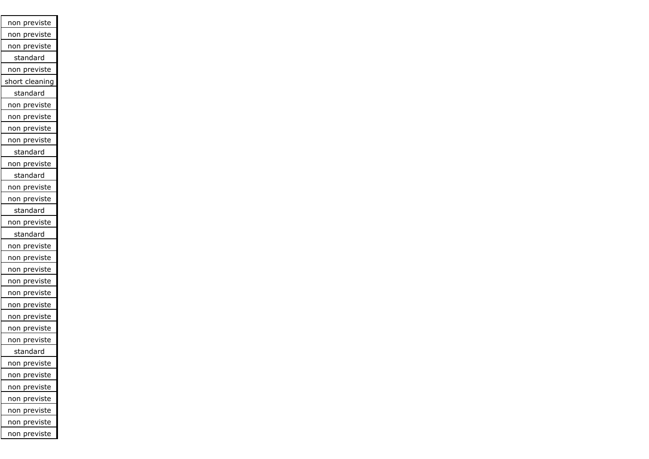| <u>non previste</u>     |
|-------------------------|
| non previste            |
| non previste            |
| standard                |
| non previste            |
| short cleaning          |
| standard                |
| non previste            |
| non previste            |
| non previste            |
| non previste            |
| standard                |
| non previste            |
| standard                |
| non previste            |
| non previste            |
| standard                |
| non previste            |
| standard                |
| non previste            |
| non previste            |
| <u>previste</u><br>non  |
| <u>previste</u><br>non  |
| <u>pre</u> viste<br>non |
| <u>prev</u> iste<br>non |
| previste<br>non         |
| previste<br>non         |
| non previste            |
| <u>standard</u>         |
| previste<br>non         |
| previste<br>non         |
| previste<br>non         |
| previste<br>non         |
| previste<br>non         |
| previste<br>non         |
| previste<br>non         |
|                         |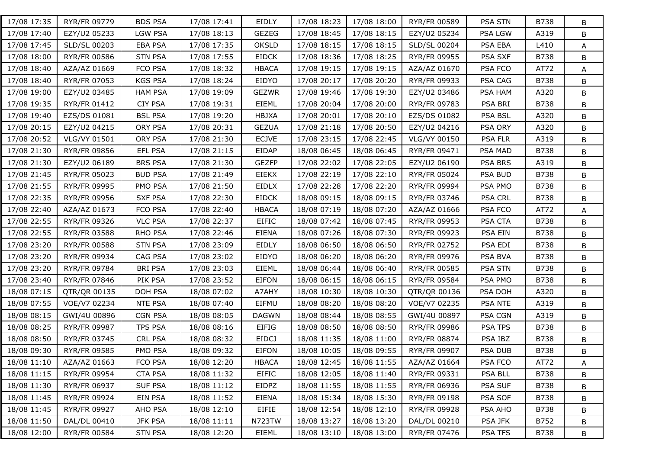| 17/08 17:35 | RYR/FR 09779        | <b>BDS PSA</b> | 17/08 17:41 | EIDLY         | 17/08 18:23 | 17/08 18:00 | RYR/FR 00589        | PSA STN        | B738        | B |
|-------------|---------------------|----------------|-------------|---------------|-------------|-------------|---------------------|----------------|-------------|---|
| 17/08 17:40 | EZY/U2 05233        | <b>LGW PSA</b> | 17/08 18:13 | <b>GEZEG</b>  | 17/08 18:45 | 17/08 18:15 | EZY/U2 05234        | PSA LGW        | A319        | В |
| 17/08 17:45 | SLD/SL 00203        | <b>EBA PSA</b> | 17/08 17:35 | <b>OKSLD</b>  | 17/08 18:15 | 17/08 18:15 | SLD/SL 00204        | PSA EBA        | L410        | A |
| 17/08 18:00 | <b>RYR/FR 00586</b> | <b>STN PSA</b> | 17/08 17:55 | <b>EIDCK</b>  | 17/08 18:36 | 17/08 18:25 | RYR/FR 09955        | PSA SXF        | B738        | B |
| 17/08 18:40 | AZA/AZ 01669        | FCO PSA        | 17/08 18:32 | <b>HBACA</b>  | 17/08 19:15 | 17/08 19:15 | AZA/AZ 01670        | PSA FCO        | AT72        | A |
| 17/08 18:40 | RYR/FR 07053        | <b>KGS PSA</b> | 17/08 18:24 | EIDYO         | 17/08 20:17 | 17/08 20:20 | RYR/FR 09933        | PSA CAG        | B738        | B |
| 17/08 19:00 | EZY/U2 03485        | <b>HAM PSA</b> | 17/08 19:09 | <b>GEZWR</b>  | 17/08 19:46 | 17/08 19:30 | EZY/U2 03486        | PSA HAM        | A320        | B |
| 17/08 19:35 | RYR/FR 01412        | <b>CIY PSA</b> | 17/08 19:31 | EIEML         | 17/08 20:04 | 17/08 20:00 | RYR/FR 09783        | PSA BRI        | B738        | B |
| 17/08 19:40 | EZS/DS 01081        | <b>BSL PSA</b> | 17/08 19:20 | <b>HBJXA</b>  | 17/08 20:01 | 17/08 20:10 | EZS/DS 01082        | PSA BSL        | A320        | B |
| 17/08 20:15 | EZY/U2 04215        | ORY PSA        | 17/08 20:31 | <b>GEZUA</b>  | 17/08 21:18 | 17/08 20:50 | EZY/U2 04216        | PSA ORY        | A320        | B |
| 17/08 20:52 | VLG/VY 01501        | ORY PSA        | 17/08 21:30 | <b>ECJVE</b>  | 17/08 23:15 | 17/08 22:45 | VLG/VY 00150        | PSA FLR        | A319        | B |
| 17/08 21:30 | RYR/FR 09856        | EFL PSA        | 17/08 21:15 | EIDAP         | 18/08 06:45 | 18/08 06:45 | RYR/FR 09471        | PSA MAD        | B738        | B |
| 17/08 21:30 | EZY/U2 06189        | <b>BRS PSA</b> | 17/08 21:30 | <b>GEZFP</b>  | 17/08 22:02 | 17/08 22:05 | EZY/U2 06190        | PSA BRS        | A319        | B |
| 17/08 21:45 | RYR/FR 05023        | <b>BUD PSA</b> | 17/08 21:49 | <b>EIEKX</b>  | 17/08 22:19 | 17/08 22:10 | RYR/FR 05024        | PSA BUD        | B738        | B |
| 17/08 21:55 | RYR/FR 09995        | PMO PSA        | 17/08 21:50 | <b>EIDLX</b>  | 17/08 22:28 | 17/08 22:20 | RYR/FR 09994        | PSA PMO        | B738        | B |
| 17/08 22:35 | RYR/FR 09956        | <b>SXF PSA</b> | 17/08 22:30 | <b>EIDCK</b>  | 18/08 09:15 | 18/08 09:15 | RYR/FR 03746        | <b>PSA CRL</b> | B738        | B |
| 17/08 22:40 | AZA/AZ 01673        | FCO PSA        | 17/08 22:40 | <b>HBACA</b>  | 18/08 07:19 | 18/08 07:20 | AZA/AZ 01666        | PSA FCO        | AT72        | A |
| 17/08 22:55 | RYR/FR 09326        | <b>VLC PSA</b> | 17/08 22:37 | <b>EIFIC</b>  | 18/08 07:42 | 18/08 07:45 | RYR/FR 09953        | PSA CTA        | B738        | B |
| 17/08 22:55 | RYR/FR 03588        | RHO PSA        | 17/08 22:46 | <b>EIENA</b>  | 18/08 07:26 | 18/08 07:30 | RYR/FR 09923        | <b>PSA EIN</b> | B738        | B |
| 17/08 23:20 | <b>RYR/FR 00588</b> | <b>STN PSA</b> | 17/08 23:09 | EIDLY         | 18/08 06:50 | 18/08 06:50 | RYR/FR 02752        | PSA EDI        | <b>B738</b> | B |
| 17/08 23:20 | RYR/FR 09934        | CAG PSA        | 17/08 23:02 | EIDYO         | 18/08 06:20 | 18/08 06:20 | RYR/FR 09976        | PSA BVA        | B738        | B |
| 17/08 23:20 | RYR/FR 09784        | <b>BRI PSA</b> | 17/08 23:03 | EIEML         | 18/08 06:44 | 18/08 06:40 | RYR/FR 00585        | PSA STN        | B738        | B |
| 17/08 23:40 | RYR/FR 07846        | PIK PSA        | 17/08 23:52 | EIFON         | 18/08 06:15 | 18/08 06:15 | RYR/FR 09584        | PSA PMO        | B738        | B |
| 18/08 07:15 | QTR/QR 00135        | DOH PSA        | 18/08 07:02 | A7AHY         | 18/08 10:30 | 18/08 10:30 | QTR/QR 00136        | PSA DOH        | A320        | B |
| 18/08 07:55 | VOE/V7 02234        | NTE PSA        | 18/08 07:40 | EIFMU         | 18/08 08:20 | 18/08 08:20 | VOE/V7 02235        | PSA NTE        | A319        | B |
| 18/08 08:15 | GWI/4U 00896        | <b>CGN PSA</b> | 18/08 08:05 | <b>DAGWN</b>  | 18/08 08:44 | 18/08 08:55 | GWI/4U 00897        | PSA CGN        | A319        | B |
| 18/08 08:25 | RYR/FR 09987        | <b>TPS PSA</b> | 18/08 08:16 | <b>EIFIG</b>  | 18/08 08:50 | 18/08 08:50 | RYR/FR 09986        | PSA TPS        | B738        | B |
| 18/08 08:50 | RYR/FR 03745        | <b>CRL PSA</b> | 18/08 08:32 | <b>EIDCJ</b>  | 18/08 11:35 | 18/08 11:00 | <b>RYR/FR 08874</b> | PSA IBZ        | B738        | B |
| 18/08 09:30 | RYR/FR 09585        | PMO PSA        | 18/08 09:32 | EIFON         | 18/08 10:05 | 18/08 09:55 | RYR/FR 09907        | <b>PSA DUB</b> | B738        | B |
| 18/08 11:10 | AZA/AZ 01663        | FCO PSA        | 18/08 12:20 | <b>HBACA</b>  | 18/08 12:45 | 18/08 11:55 | AZA/AZ 01664        | PSA FCO        | AT72        | A |
| 18/08 11:15 | RYR/FR 09954        | <b>CTA PSA</b> | 18/08 11:32 | <b>EIFIC</b>  | 18/08 12:05 | 18/08 11:40 | RYR/FR 09331        | PSA BLL        | B738        | B |
| 18/08 11:30 | RYR/FR 06937        | <b>SUF PSA</b> | 18/08 11:12 | EIDPZ         | 18/08 11:55 | 18/08 11:55 | RYR/FR 06936        | PSA SUF        | B738        | B |
| 18/08 11:45 | RYR/FR 09924        | EIN PSA        | 18/08 11:52 | <b>EIENA</b>  | 18/08 15:34 | 18/08 15:30 | RYR/FR 09198        | PSA SOF        | <b>B738</b> | B |
| 18/08 11:45 | RYR/FR 09927        | AHO PSA        | 18/08 12:10 | <b>EIFIE</b>  | 18/08 12:54 | 18/08 12:10 | RYR/FR 09928        | PSA AHO        | B738        | В |
| 18/08 11:50 | DAL/DL 00410        | <b>JFK PSA</b> | 18/08 11:11 | <b>N723TW</b> | 18/08 13:27 | 18/08 13:20 | DAL/DL 00210        | PSA JFK        | B752        | В |
| 18/08 12:00 | RYR/FR 00584        | <b>STN PSA</b> | 18/08 12:20 | EIEML         | 18/08 13:10 | 18/08 13:00 | RYR/FR 07476        | PSA TFS        | B738        | В |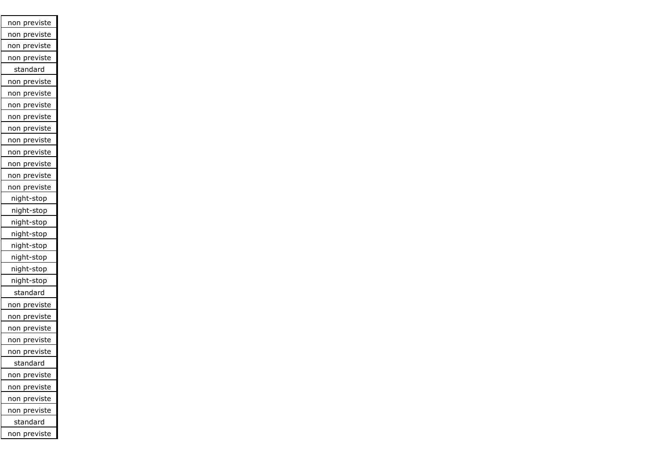| previste<br>non         |
|-------------------------|
| previste<br>non         |
| previste<br>non         |
| previste<br>non         |
| standard                |
| previste<br>non         |
| previste<br>non         |
| <u>previst</u> e<br>non |
| previste<br>non         |
| <u>prev</u> iste<br>non |
| previste<br>non         |
| previste<br>non         |
| previste<br>non         |
| non previste            |
| non previste            |
| night-stop              |
| night-stop              |
| night-stop              |
| night-stop              |
| night-stop              |
| night-stop              |
| night-stop              |
| night-stop              |
| standard                |
| previste<br>non         |
| previste<br>non         |
| previste<br>non         |
| previste<br>non         |
| previste<br>non         |
| standard                |
| non previste            |
| non previste            |
| previste<br>non         |
| on previste<br>r        |
| standard                |
| ion previste<br>r       |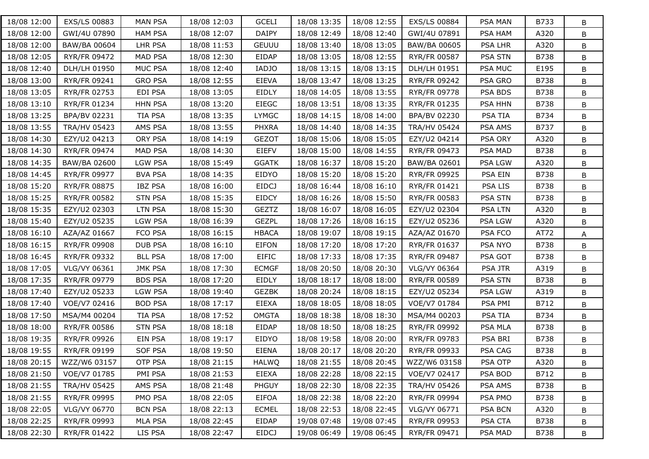| 18/08 12:00 | EXS/LS 00883        | <b>MAN PSA</b> | 18/08 12:03 | <b>GCELI</b> | 18/08 13:35 | 18/08 12:55 | EXS/LS 00884        | <b>PSA MAN</b> | B733        | B |
|-------------|---------------------|----------------|-------------|--------------|-------------|-------------|---------------------|----------------|-------------|---|
| 18/08 12:00 | GWI/4U 07890        | <b>HAM PSA</b> | 18/08 12:07 | <b>DAIPY</b> | 18/08 12:49 | 18/08 12:40 | GWI/4U 07891        | PSA HAM        | A320        | В |
| 18/08 12:00 | BAW/BA 00604        | LHR PSA        | 18/08 11:53 | <b>GEUUU</b> | 18/08 13:40 | 18/08 13:05 | BAW/BA 00605        | PSA LHR        | A320        | B |
| 18/08 12:05 | RYR/FR 09472        | MAD PSA        | 18/08 12:30 | <b>EIDAP</b> | 18/08 13:05 | 18/08 12:55 | <b>RYR/FR 00587</b> | PSA STN        | B738        | B |
| 18/08 12:40 | DLH/LH 01950        | MUC PSA        | 18/08 12:40 | <b>IADJO</b> | 18/08 13:15 | 18/08 13:15 | DLH/LH 01951        | <b>PSA MUC</b> | E195        | B |
| 18/08 13:00 | RYR/FR 09241        | <b>GRO PSA</b> | 18/08 12:55 | <b>EIEVA</b> | 18/08 13:47 | 18/08 13:25 | RYR/FR 09242        | PSA GRO        | B738        | B |
| 18/08 13:05 | RYR/FR 02753        | EDI PSA        | 18/08 13:05 | EIDLY        | 18/08 14:05 | 18/08 13:55 | RYR/FR 09778        | PSA BDS        | B738        | B |
| 18/08 13:10 | RYR/FR 01234        | <b>HHN PSA</b> | 18/08 13:20 | <b>EIEGC</b> | 18/08 13:51 | 18/08 13:35 | RYR/FR 01235        | PSA HHN        | B738        | B |
| 18/08 13:25 | BPA/BV 02231        | <b>TIA PSA</b> | 18/08 13:35 | <b>LYMGC</b> | 18/08 14:15 | 18/08 14:00 | BPA/BV 02230        | <b>PSA TIA</b> | B734        | B |
| 18/08 13:55 | <b>TRA/HV 05423</b> | AMS PSA        | 18/08 13:55 | <b>PHXRA</b> | 18/08 14:40 | 18/08 14:35 | <b>TRA/HV 05424</b> | PSA AMS        | B737        | B |
| 18/08 14:30 | EZY/U2 04213        | ORY PSA        | 18/08 14:19 | <b>GEZOT</b> | 18/08 15:06 | 18/08 15:05 | EZY/U2 04214        | PSA ORY        | A320        | B |
| 18/08 14:30 | RYR/FR 09474        | MAD PSA        | 18/08 14:30 | EIEFV        | 18/08 15:00 | 18/08 14:55 | RYR/FR 09473        | PSA MAD        | B738        | B |
| 18/08 14:35 | BAW/BA 02600        | <b>LGW PSA</b> | 18/08 15:49 | <b>GGATK</b> | 18/08 16:37 | 18/08 15:20 | BAW/BA 02601        | <b>PSA LGW</b> | A320        | B |
| 18/08 14:45 | RYR/FR 09977        | <b>BVA PSA</b> | 18/08 14:35 | EIDYO        | 18/08 15:20 | 18/08 15:20 | RYR/FR 09925        | PSA EIN        | B738        | B |
| 18/08 15:20 | RYR/FR 08875        | <b>IBZ PSA</b> | 18/08 16:00 | <b>EIDCJ</b> | 18/08 16:44 | 18/08 16:10 | <b>RYR/FR 01421</b> | <b>PSA LIS</b> | <b>B738</b> | B |
| 18/08 15:25 | RYR/FR 00582        | <b>STN PSA</b> | 18/08 15:35 | <b>EIDCY</b> | 18/08 16:26 | 18/08 15:50 | RYR/FR 00583        | PSA STN        | B738        | B |
| 18/08 15:35 | EZY/U2 02303        | <b>LTN PSA</b> | 18/08 15:30 | <b>GEZTZ</b> | 18/08 16:07 | 18/08 16:05 | EZY/U2 02304        | <b>PSA LTN</b> | A320        | B |
| 18/08 15:40 | EZY/U2 05235        | <b>LGW PSA</b> | 18/08 16:39 | <b>GEZPL</b> | 18/08 17:26 | 18/08 16:15 | EZY/U2 05236        | <b>PSA LGW</b> | A320        | B |
| 18/08 16:10 | AZA/AZ 01667        | FCO PSA        | 18/08 16:15 | <b>HBACA</b> | 18/08 19:07 | 18/08 19:15 | AZA/AZ 01670        | PSA FCO        | AT72        | A |
| 18/08 16:15 | <b>RYR/FR 09908</b> | <b>DUB PSA</b> | 18/08 16:10 | <b>EIFON</b> | 18/08 17:20 | 18/08 17:20 | RYR/FR 01637        | PSA NYO        | <b>B738</b> | B |
| 18/08 16:45 | RYR/FR 09332        | <b>BLL PSA</b> | 18/08 17:00 | <b>EIFIC</b> | 18/08 17:33 | 18/08 17:35 | <b>RYR/FR 09487</b> | PSA GOT        | <b>B738</b> | B |
| 18/08 17:05 | VLG/VY 06361        | <b>JMK PSA</b> | 18/08 17:30 | <b>ECMGF</b> | 18/08 20:50 | 18/08 20:30 | VLG/VY 06364        | <b>PSA JTR</b> | A319        | B |
| 18/08 17:35 | RYR/FR 09779        | <b>BDS PSA</b> | 18/08 17:20 | EIDLY        | 18/08 18:17 | 18/08 18:00 | RYR/FR 00589        | PSA STN        | B738        | B |
| 18/08 17:40 | EZY/U2 05233        | <b>LGW PSA</b> | 18/08 19:40 | <b>GEZBK</b> | 18/08 20:24 | 18/08 18:15 | EZY/U2 05234        | <b>PSA LGW</b> | A319        | B |
| 18/08 17:40 | VOE/V7 02416        | <b>BOD PSA</b> | 18/08 17:17 | EIEXA        | 18/08 18:05 | 18/08 18:05 | VOE/V7 01784        | PSA PMI        | B712        | B |
| 18/08 17:50 | MSA/M4 00204        | <b>TIA PSA</b> | 18/08 17:52 | <b>OMGTA</b> | 18/08 18:38 | 18/08 18:30 | MSA/M4 00203        | <b>PSA TIA</b> | B734        | В |
| 18/08 18:00 | RYR/FR 00586        | <b>STN PSA</b> | 18/08 18:18 | EIDAP        | 18/08 18:50 | 18/08 18:25 | RYR/FR 09992        | PSA MLA        | B738        | B |
| 18/08 19:35 | RYR/FR 09926        | EIN PSA        | 18/08 19:17 | EIDYO        | 18/08 19:58 | 18/08 20:00 | RYR/FR 09783        | PSA BRI        | B738        | B |
| 18/08 19:55 | RYR/FR 09199        | <b>SOF PSA</b> | 18/08 19:50 | EIENA        | 18/08 20:17 | 18/08 20:20 | RYR/FR 09933        | PSA CAG        | B738        | B |
| 18/08 20:15 | WZZ/W6 03157        | OTP PSA        | 18/08 21:15 | <b>HALWQ</b> | 18/08 21:55 | 18/08 20:45 | WZZ/W6 03158        | PSA OTP        | A320        | В |
| 18/08 21:50 | VOE/V7 01785        | PMI PSA        | 18/08 21:53 | EIEXA        | 18/08 22:28 | 18/08 22:15 | VOE/V7 02417        | PSA BOD        | B712        | B |
| 18/08 21:55 | TRA/HV 05425        | AMS PSA        | 18/08 21:48 | PHGUY        | 18/08 22:30 | 18/08 22:35 | TRA/HV 05426        | PSA AMS        | B738        | B |
| 18/08 21:55 | RYR/FR 09995        | PMO PSA        | 18/08 22:05 | <b>EIFOA</b> | 18/08 22:38 | 18/08 22:20 | RYR/FR 09994        | PSA PMO        | <b>B738</b> | B |
| 18/08 22:05 | VLG/VY 06770        | <b>BCN PSA</b> | 18/08 22:13 | <b>ECMEL</b> | 18/08 22:53 | 18/08 22:45 | VLG/VY 06771        | <b>PSA BCN</b> | A320        | B |
| 18/08 22:25 | RYR/FR 09993        | MLA PSA        | 18/08 22:45 | EIDAP        | 19/08 07:48 | 19/08 07:45 | RYR/FR 09953        | PSA CTA        | B738        | В |
| 18/08 22:30 | RYR/FR 01422        | LIS PSA        | 18/08 22:47 | <b>EIDCJ</b> | 19/08 06:49 | 19/08 06:45 | RYR/FR 09471        | PSA MAD        | B738        | B |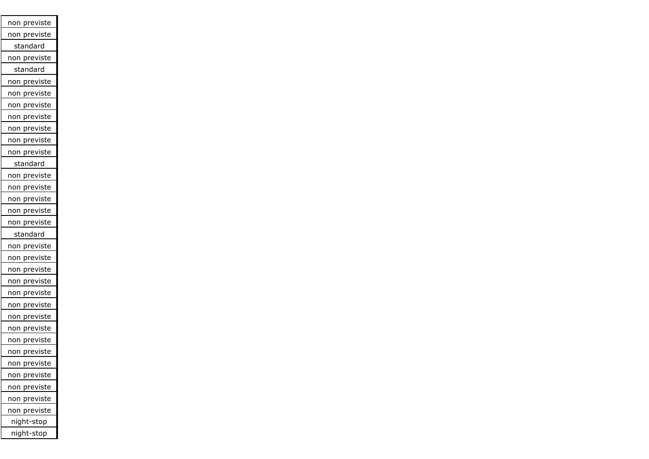| non previste            |
|-------------------------|
| non previste            |
| standard                |
| non previste            |
| standard                |
| non previste            |
| non previste            |
| <u>non previste</u>     |
| <u>non previ</u> ste    |
| previste<br>non         |
| non previste            |
| non previste            |
| standard                |
| <u>non pre</u> viste    |
| non previste            |
| non previste            |
| non previste            |
| non previste            |
| standard                |
| non previste            |
| previste<br>non         |
| <u>previst</u> e<br>non |
| previste<br>non         |
| previste<br>non         |
| <u>prev</u> iste<br>non |
| previste<br>non         |
| previste<br>non         |
| previste<br>non         |
| previste<br>non         |
| non previste            |
| previste<br>non         |
| non previste            |
| previste<br>non         |
| previste<br>າon<br>r    |
| night-stop              |
| night-stop              |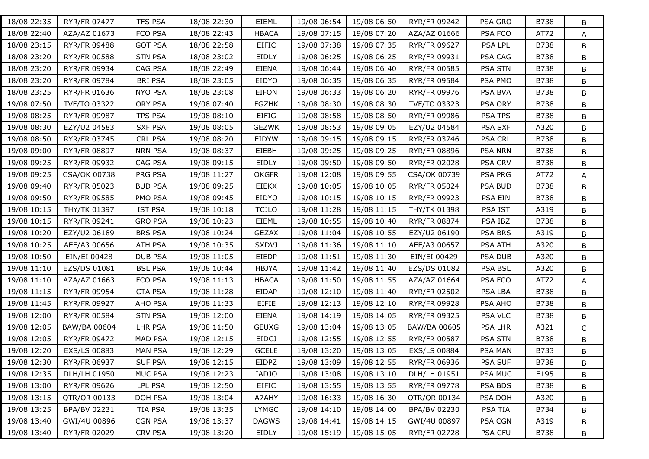| 18/08 22:35 | <b>RYR/FR 07477</b> | <b>TFS PSA</b> | 18/08 22:30 | EIEML        | 19/08 06:54 | 19/08 06:50 | RYR/FR 09242        | PSA GRO        | B738        | B            |
|-------------|---------------------|----------------|-------------|--------------|-------------|-------------|---------------------|----------------|-------------|--------------|
| 18/08 22:40 | AZA/AZ 01673        | FCO PSA        | 18/08 22:43 | <b>HBACA</b> | 19/08 07:15 | 19/08 07:20 | AZA/AZ 01666        | PSA FCO        | AT72        | A            |
| 18/08 23:15 | RYR/FR 09488        | <b>GOT PSA</b> | 18/08 22:58 | <b>EIFIC</b> | 19/08 07:38 | 19/08 07:35 | RYR/FR 09627        | PSA LPL        | B738        | B            |
| 18/08 23:20 | <b>RYR/FR 00588</b> | <b>STN PSA</b> | 18/08 23:02 | EIDLY        | 19/08 06:25 | 19/08 06:25 | RYR/FR 09931        | PSA CAG        | B738        | B            |
| 18/08 23:20 | RYR/FR 09934        | CAG PSA        | 18/08 22:49 | <b>EIENA</b> | 19/08 06:44 | 19/08 06:40 | RYR/FR 00585        | PSA STN        | B738        | B            |
| 18/08 23:20 | RYR/FR 09784        | <b>BRI PSA</b> | 18/08 23:05 | EIDYO        | 19/08 06:35 | 19/08 06:35 | <b>RYR/FR 09584</b> | PSA PMO        | <b>B738</b> | B            |
| 18/08 23:25 | RYR/FR 01636        | <b>NYO PSA</b> | 18/08 23:08 | EIFON        | 19/08 06:33 | 19/08 06:20 | RYR/FR 09976        | PSA BVA        | B738        | B            |
| 19/08 07:50 | <b>TVF/TO 03322</b> | ORY PSA        | 19/08 07:40 | <b>FGZHK</b> | 19/08 08:30 | 19/08 08:30 | TVF/TO 03323        | PSA ORY        | B738        | B            |
| 19/08 08:25 | <b>RYR/FR 09987</b> | <b>TPS PSA</b> | 19/08 08:10 | <b>EIFIG</b> | 19/08 08:58 | 19/08 08:50 | RYR/FR 09986        | PSA TPS        | B738        | B            |
| 19/08 08:30 | EZY/U2 04583        | <b>SXF PSA</b> | 19/08 08:05 | <b>GEZWK</b> | 19/08 08:53 | 19/08 09:05 | EZY/U2 04584        | PSA SXF        | A320        | B            |
| 19/08 08:50 | RYR/FR 03745        | CRL PSA        | 19/08 08:20 | EIDYW        | 19/08 09:15 | 19/08 09:15 | RYR/FR 03746        | PSA CRL        | B738        | B            |
| 19/08 09:00 | RYR/FR 08897        | <b>NRN PSA</b> | 19/08 08:37 | EIEBH        | 19/08 09:25 | 19/08 09:25 | RYR/FR 08896        | <b>PSA NRN</b> | B738        | B            |
| 19/08 09:25 | RYR/FR 09932        | CAG PSA        | 19/08 09:15 | EIDLY        | 19/08 09:50 | 19/08 09:50 | RYR/FR 02028        | <b>PSA CRV</b> | B738        | B            |
| 19/08 09:25 | CSA/OK 00738        | PRG PSA        | 19/08 11:27 | <b>OKGFR</b> | 19/08 12:08 | 19/08 09:55 | CSA/OK 00739        | PSA PRG        | AT72        | A            |
| 19/08 09:40 | RYR/FR 05023        | <b>BUD PSA</b> | 19/08 09:25 | <b>EIEKX</b> | 19/08 10:05 | 19/08 10:05 | RYR/FR 05024        | PSA BUD        | B738        | B            |
| 19/08 09:50 | <b>RYR/FR 09585</b> | PMO PSA        | 19/08 09:45 | EIDYO        | 19/08 10:15 | 19/08 10:15 | RYR/FR 09923        | PSA EIN        | B738        | B            |
| 19/08 10:15 | THY/TK 01397        | <b>IST PSA</b> | 19/08 10:18 | <b>TCJLO</b> | 19/08 11:28 | 19/08 11:15 | THY/TK 01398        | PSA IST        | A319        | B            |
| 19/08 10:15 | RYR/FR 09241        | <b>GRO PSA</b> | 19/08 10:23 | EIEML        | 19/08 10:55 | 19/08 10:40 | <b>RYR/FR 08874</b> | PSA IBZ        | B738        | B            |
| 19/08 10:20 | EZY/U2 06189        | <b>BRS PSA</b> | 19/08 10:24 | <b>GEZAX</b> | 19/08 11:04 | 19/08 10:55 | EZY/U2 06190        | PSA BRS        | A319        | B            |
| 19/08 10:25 | AEE/A3 00656        | ATH PSA        | 19/08 10:35 | <b>SXDVJ</b> | 19/08 11:36 | 19/08 11:10 | AEE/A3 00657        | PSA ATH        | A320        | B            |
| 19/08 10:50 | EIN/EI 00428        | <b>DUB PSA</b> | 19/08 11:05 | EIEDP        | 19/08 11:51 | 19/08 11:30 | EIN/EI 00429        | PSA DUB        | A320        | B            |
| 19/08 11:10 | EZS/DS 01081        | <b>BSL PSA</b> | 19/08 10:44 | <b>HBJYA</b> | 19/08 11:42 | 19/08 11:40 | EZS/DS 01082        | PSA BSL        | A320        | B            |
| 19/08 11:10 | AZA/AZ 01663        | FCO PSA        | 19/08 11:13 | <b>HBACA</b> | 19/08 11:50 | 19/08 11:55 | AZA/AZ 01664        | PSA FCO        | AT72        | A            |
| 19/08 11:15 | RYR/FR 09954        | <b>CTA PSA</b> | 19/08 11:28 | EIDAP        | 19/08 12:10 | 19/08 11:40 | RYR/FR 02502        | PSA LBA        | <b>B738</b> | B            |
| 19/08 11:45 | RYR/FR 09927        | AHO PSA        | 19/08 11:33 | <b>EIFIE</b> | 19/08 12:13 | 19/08 12:10 | RYR/FR 09928        | PSA AHO        | B738        | B            |
| 19/08 12:00 | RYR/FR 00584        | <b>STN PSA</b> | 19/08 12:00 | <b>EIENA</b> | 19/08 14:19 | 19/08 14:05 | RYR/FR 09325        | PSA VLC        | B738        | B            |
| 19/08 12:05 | BAW/BA 00604        | LHR PSA        | 19/08 11:50 | <b>GEUXG</b> | 19/08 13:04 | 19/08 13:05 | BAW/BA 00605        | PSA LHR        | A321        | $\mathsf{C}$ |
| 19/08 12:05 | RYR/FR 09472        | <b>MAD PSA</b> | 19/08 12:15 | <b>EIDCJ</b> | 19/08 12:55 | 19/08 12:55 | <b>RYR/FR 00587</b> | PSA STN        | B738        | B            |
| 19/08 12:20 | EXS/LS 00883        | <b>MAN PSA</b> | 19/08 12:29 | <b>GCELE</b> | 19/08 13:20 | 19/08 13:05 | EXS/LS 00884        | <b>PSA MAN</b> | B733        | B            |
| 19/08 12:30 | RYR/FR 06937        | SUF PSA        | 19/08 12:15 | EIDPZ        | 19/08 13:09 | 19/08 12:55 | RYR/FR 06936        | <b>PSA SUF</b> | B738        | В            |
| 19/08 12:35 | DLH/LH 01950        | MUC PSA        | 19/08 12:23 | <b>IADJO</b> | 19/08 13:08 | 19/08 13:10 | DLH/LH 01951        | PSA MUC        | E195        | B            |
| 19/08 13:00 | RYR/FR 09626        | LPL PSA        | 19/08 12:50 | <b>EIFIC</b> | 19/08 13:55 | 19/08 13:55 | RYR/FR 09778        | PSA BDS        | B738        | B            |
| 19/08 13:15 | QTR/QR 00133        | DOH PSA        | 19/08 13:04 | A7AHY        | 19/08 16:33 | 19/08 16:30 | QTR/QR 00134        | PSA DOH        | A320        | B            |
| 19/08 13:25 | BPA/BV 02231        | TIA PSA        | 19/08 13:35 | <b>LYMGC</b> | 19/08 14:10 | 19/08 14:00 | BPA/BV 02230        | PSA TIA        | B734        | B            |
| 19/08 13:40 | GWI/4U 00896        | CGN PSA        | 19/08 13:37 | <b>DAGWS</b> | 19/08 14:41 | 19/08 14:15 | GWI/4U 00897        | PSA CGN        | A319        | В            |
| 19/08 13:40 | RYR/FR 02029        | <b>CRV PSA</b> | 19/08 13:20 | EIDLY        | 19/08 15:19 | 19/08 15:05 | RYR/FR 02728        | PSA CFU        | B738        | В            |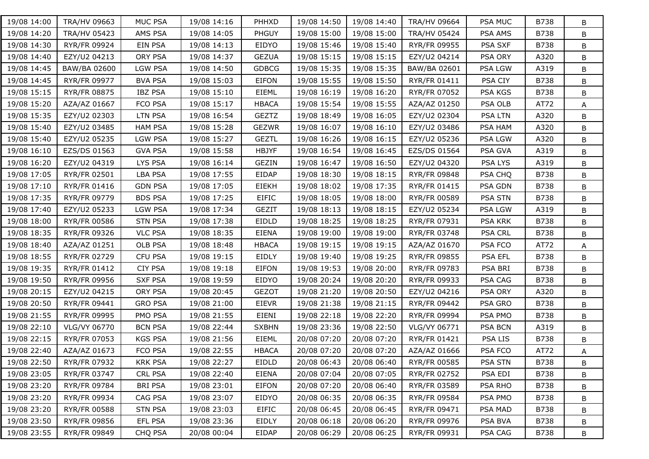| 19/08 14:00 | TRA/HV 09663        | MUC PSA        | 19/08 14:16 | PHHXD        | 19/08 14:50 | 19/08 14:40 | TRA/HV 09664        | PSA MUC        | B738        | B |
|-------------|---------------------|----------------|-------------|--------------|-------------|-------------|---------------------|----------------|-------------|---|
| 19/08 14:20 | <b>TRA/HV 05423</b> | AMS PSA        | 19/08 14:05 | <b>PHGUY</b> | 19/08 15:00 | 19/08 15:00 | <b>TRA/HV 05424</b> | PSA AMS        | B738        | В |
| 19/08 14:30 | RYR/FR 09924        | EIN PSA        | 19/08 14:13 | EIDYO        | 19/08 15:46 | 19/08 15:40 | RYR/FR 09955        | PSA SXF        | B738        | B |
| 19/08 14:40 | EZY/U2 04213        | ORY PSA        | 19/08 14:37 | <b>GEZUA</b> | 19/08 15:15 | 19/08 15:15 | EZY/U2 04214        | PSA ORY        | A320        | В |
| 19/08 14:45 | BAW/BA 02600        | <b>LGW PSA</b> | 19/08 14:50 | <b>GDBCG</b> | 19/08 15:35 | 19/08 15:35 | BAW/BA 02601        | PSA LGW        | A319        | B |
| 19/08 14:45 | RYR/FR 09977        | <b>BVA PSA</b> | 19/08 15:03 | <b>EIFON</b> | 19/08 15:55 | 19/08 15:50 | <b>RYR/FR 01411</b> | PSA CIY        | B738        | B |
| 19/08 15:15 | <b>RYR/FR 08875</b> | <b>IBZ PSA</b> | 19/08 15:10 | EIEML        | 19/08 16:19 | 19/08 16:20 | RYR/FR 07052        | PSA KGS        | B738        | B |
| 19/08 15:20 | AZA/AZ 01667        | FCO PSA        | 19/08 15:17 | <b>HBACA</b> | 19/08 15:54 | 19/08 15:55 | AZA/AZ 01250        | PSA OLB        | AT72        | A |
| 19/08 15:35 | EZY/U2 02303        | <b>LTN PSA</b> | 19/08 16:54 | <b>GEZTZ</b> | 19/08 18:49 | 19/08 16:05 | EZY/U2 02304        | <b>PSA LTN</b> | A320        | B |
| 19/08 15:40 | EZY/U2 03485        | <b>HAM PSA</b> | 19/08 15:28 | <b>GEZWR</b> | 19/08 16:07 | 19/08 16:10 | EZY/U2 03486        | <b>PSA HAM</b> | A320        | B |
| 19/08 15:40 | EZY/U2 05235        | LGW PSA        | 19/08 15:27 | <b>GEZTL</b> | 19/08 16:26 | 19/08 16:15 | EZY/U2 05236        | <b>PSA LGW</b> | A320        | B |
| 19/08 16:10 | EZS/DS 01563        | <b>GVA PSA</b> | 19/08 15:58 | <b>HBJYF</b> | 19/08 16:54 | 19/08 16:45 | EZS/DS 01564        | PSA GVA        | A319        | B |
| 19/08 16:20 | EZY/U2 04319        | LYS PSA        | 19/08 16:14 | <b>GEZIN</b> | 19/08 16:47 | 19/08 16:50 | EZY/U2 04320        | PSA LYS        | A319        | B |
| 19/08 17:05 | RYR/FR 02501        | <b>LBA PSA</b> | 19/08 17:55 | EIDAP        | 19/08 18:30 | 19/08 18:15 | RYR/FR 09848        | PSA CHQ        | B738        | B |
| 19/08 17:10 | RYR/FR 01416        | <b>GDN PSA</b> | 19/08 17:05 | <b>EIEKH</b> | 19/08 18:02 | 19/08 17:35 | RYR/FR 01415        | PSA GDN        | B738        | B |
| 19/08 17:35 | RYR/FR 09779        | <b>BDS PSA</b> | 19/08 17:25 | <b>EIFIC</b> | 19/08 18:05 | 19/08 18:00 | RYR/FR 00589        | PSA STN        | B738        | B |
| 19/08 17:40 | EZY/U2 05233        | <b>LGW PSA</b> | 19/08 17:34 | <b>GEZIT</b> | 19/08 18:13 | 19/08 18:15 | EZY/U2 05234        | PSA LGW        | A319        | B |
| 19/08 18:00 | RYR/FR 00586        | <b>STN PSA</b> | 19/08 17:38 | EIDLD        | 19/08 18:25 | 19/08 18:25 | RYR/FR 07931        | <b>PSA KRK</b> | B738        | B |
| 19/08 18:35 | RYR/FR 09326        | <b>VLC PSA</b> | 19/08 18:35 | <b>EIENA</b> | 19/08 19:00 | 19/08 19:00 | RYR/FR 03748        | PSA CRL        | B738        | B |
| 19/08 18:40 | AZA/AZ 01251        | OLB PSA        | 19/08 18:48 | <b>HBACA</b> | 19/08 19:15 | 19/08 19:15 | AZA/AZ 01670        | PSA FCO        | AT72        | A |
| 19/08 18:55 | RYR/FR 02729        | <b>CFU PSA</b> | 19/08 19:15 | EIDLY        | 19/08 19:40 | 19/08 19:25 | RYR/FR 09855        | <b>PSA EFL</b> | <b>B738</b> | B |
| 19/08 19:35 | RYR/FR 01412        | <b>CIY PSA</b> | 19/08 19:18 | EIFON        | 19/08 19:53 | 19/08 20:00 | RYR/FR 09783        | PSA BRI        | <b>B738</b> | B |
| 19/08 19:50 | RYR/FR 09956        | <b>SXF PSA</b> | 19/08 19:59 | EIDYO        | 19/08 20:24 | 19/08 20:20 | RYR/FR 09933        | PSA CAG        | B738        | B |
| 19/08 20:15 | EZY/U2 04215        | ORY PSA        | 19/08 20:45 | <b>GEZOT</b> | 19/08 21:20 | 19/08 20:50 | EZY/U2 04216        | PSA ORY        | A320        | B |
| 19/08 20:50 | RYR/FR 09441        | <b>GRO PSA</b> | 19/08 21:00 | <b>EIEVR</b> | 19/08 21:38 | 19/08 21:15 | RYR/FR 09442        | PSA GRO        | B738        | B |
| 19/08 21:55 | RYR/FR 09995        | PMO PSA        | 19/08 21:55 | EIENI        | 19/08 22:18 | 19/08 22:20 | RYR/FR 09994        | PSA PMO        | B738        | B |
| 19/08 22:10 | VLG/VY 06770        | <b>BCN PSA</b> | 19/08 22:44 | <b>SXBHN</b> | 19/08 23:36 | 19/08 22:50 | VLG/VY 06771        | PSA BCN        | A319        | B |
| 19/08 22:15 | RYR/FR 07053        | <b>KGS PSA</b> | 19/08 21:56 | <b>EIEML</b> | 20/08 07:20 | 20/08 07:20 | RYR/FR 01421        | <b>PSA LIS</b> | <b>B738</b> | B |
| 19/08 22:40 | AZA/AZ 01673        | FCO PSA        | 19/08 22:55 | <b>HBACA</b> | 20/08 07:20 | 20/08 07:20 | AZA/AZ 01666        | PSA FCO        | AT72        | A |
| 19/08 22:50 | RYR/FR 07932        | KRK PSA        | 19/08 22:27 | EIDLD        | 20/08 06:43 | 20/08 06:40 | RYR/FR 00585        | PSA STN        | B738        | В |
| 19/08 23:05 | RYR/FR 03747        | CRL PSA        | 19/08 22:40 | <b>EIENA</b> | 20/08 07:04 | 20/08 07:05 | RYR/FR 02752        | PSA EDI        | B738        | B |
| 19/08 23:20 | RYR/FR 09784        | <b>BRI PSA</b> | 19/08 23:01 | EIFON        | 20/08 07:20 | 20/08 06:40 | RYR/FR 03589        | PSA RHO        | B738        | В |
| 19/08 23:20 | RYR/FR 09934        | CAG PSA        | 19/08 23:07 | EIDYO        | 20/08 06:35 | 20/08 06:35 | RYR/FR 09584        | PSA PMO        | <b>B738</b> | B |
| 19/08 23:20 | RYR/FR 00588        | <b>STN PSA</b> | 19/08 23:03 | <b>EIFIC</b> | 20/08 06:45 | 20/08 06:45 | RYR/FR 09471        | PSA MAD        | <b>B738</b> | B |
| 19/08 23:50 | RYR/FR 09856        | EFL PSA        | 19/08 23:36 | EIDLY        | 20/08 06:18 | 20/08 06:20 | RYR/FR 09976        | PSA BVA        | B738        | В |
| 19/08 23:55 | RYR/FR 09849        | CHQ PSA        | 20/08 00:04 | EIDAP        | 20/08 06:29 | 20/08 06:25 | RYR/FR 09931        | PSA CAG        | B738        | В |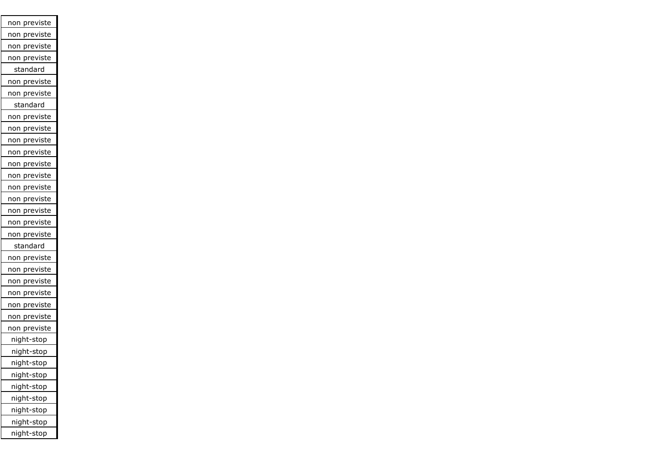| <u>non previste</u>          |
|------------------------------|
| previste<br>non              |
| previste<br>non              |
| previste<br>non              |
| standard                     |
| non previste                 |
| previste<br>non              |
| standard                     |
| non previste                 |
| non<br>previste              |
| previste<br>non              |
| <u>prev</u> iste<br>non      |
| previste<br>non              |
| <u>pre</u> viste<br>non      |
| previste<br>non              |
| <u>previ</u> ste<br>non      |
| <u>pre</u> viste<br>non      |
| previste<br>non              |
| previste<br>non              |
| standard                     |
| non previste                 |
| <u>previst</u> e<br>non      |
| <u>prev</u> iste<br>າon<br>r |
| previste<br>non              |
| previste<br>non              |
| previste<br>non              |
| previste<br>non              |
| night-stop                   |
| <u>night-stop</u>            |
| night-stop                   |
| night-stop                   |
| night-stop                   |
| night-stop                   |
| night-stop                   |
| night-stop                   |
| night-stop                   |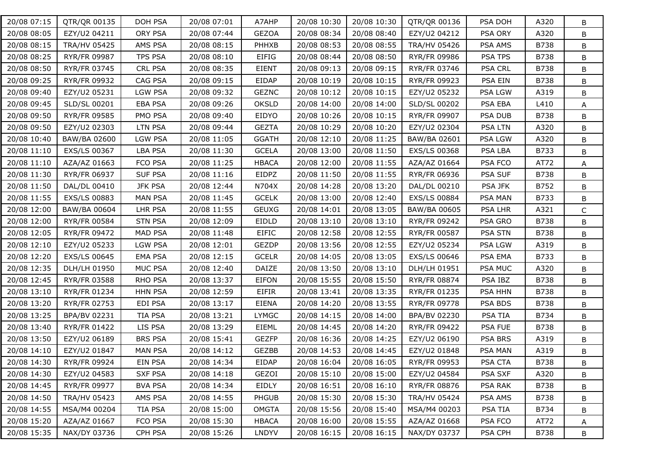| 20/08 07:15 | QTR/QR 00135        | DOH PSA        | 20/08 07:01 | A7AHP        | 20/08 10:30 | 20/08 10:30 | QTR/QR 00136        | PSA DOH        | A320        | B            |
|-------------|---------------------|----------------|-------------|--------------|-------------|-------------|---------------------|----------------|-------------|--------------|
| 20/08 08:05 | EZY/U2 04211        | ORY PSA        | 20/08 07:44 | <b>GEZOA</b> | 20/08 08:34 | 20/08 08:40 | EZY/U2 04212        | PSA ORY        | A320        | B            |
| 20/08 08:15 | <b>TRA/HV 05425</b> | AMS PSA        | 20/08 08:15 | PHHXB        | 20/08 08:53 | 20/08 08:55 | <b>TRA/HV 05426</b> | PSA AMS        | B738        | B            |
| 20/08 08:25 | RYR/FR 09987        | <b>TPS PSA</b> | 20/08 08:10 | <b>EIFIG</b> | 20/08 08:44 | 20/08 08:50 | RYR/FR 09986        | <b>PSA TPS</b> | <b>B738</b> | B            |
| 20/08 08:50 | RYR/FR 03745        | <b>CRL PSA</b> | 20/08 08:35 | <b>EIENT</b> | 20/08 09:13 | 20/08 09:15 | RYR/FR 03746        | <b>PSA CRL</b> | B738        | B            |
| 20/08 09:25 | RYR/FR 09932        | CAG PSA        | 20/08 09:15 | EIDAP        | 20/08 10:19 | 20/08 10:15 | RYR/FR 09923        | PSA EIN        | B738        | B            |
| 20/08 09:40 | EZY/U2 05231        | <b>LGW PSA</b> | 20/08 09:32 | <b>GEZNC</b> | 20/08 10:12 | 20/08 10:15 | EZY/U2 05232        | PSA LGW        | A319        | B            |
| 20/08 09:45 | SLD/SL 00201        | <b>EBA PSA</b> | 20/08 09:26 | <b>OKSLD</b> | 20/08 14:00 | 20/08 14:00 | SLD/SL 00202        | PSA EBA        | L410        | A            |
| 20/08 09:50 | RYR/FR 09585        | PMO PSA        | 20/08 09:40 | EIDYO        | 20/08 10:26 | 20/08 10:15 | RYR/FR 09907        | PSA DUB        | B738        | B            |
| 20/08 09:50 | EZY/U2 02303        | <b>LTN PSA</b> | 20/08 09:44 | <b>GEZTA</b> | 20/08 10:29 | 20/08 10:20 | EZY/U2 02304        | <b>PSA LTN</b> | A320        | B            |
| 20/08 10:40 | BAW/BA 02600        | <b>LGW PSA</b> | 20/08 11:05 | <b>GGATH</b> | 20/08 12:10 | 20/08 11:25 | BAW/BA 02601        | <b>PSA LGW</b> | A320        | B            |
| 20/08 11:10 | EXS/LS 00367        | <b>LBA PSA</b> | 20/08 11:30 | <b>GCELA</b> | 20/08 13:00 | 20/08 11:50 | EXS/LS 00368        | PSA LBA        | B733        | B            |
| 20/08 11:10 | AZA/AZ 01663        | FCO PSA        | 20/08 11:25 | <b>HBACA</b> | 20/08 12:00 | 20/08 11:55 | AZA/AZ 01664        | PSA FCO        | AT72        | A            |
| 20/08 11:30 | RYR/FR 06937        | <b>SUF PSA</b> | 20/08 11:16 | EIDPZ        | 20/08 11:50 | 20/08 11:55 | RYR/FR 06936        | PSA SUF        | B738        | B            |
| 20/08 11:50 | DAL/DL 00410        | <b>JFK PSA</b> | 20/08 12:44 | N704X        | 20/08 14:28 | 20/08 13:20 | DAL/DL 00210        | <b>PSA JFK</b> | B752        | B            |
| 20/08 11:55 | EXS/LS 00883        | MAN PSA        | 20/08 11:45 | <b>GCELK</b> | 20/08 13:00 | 20/08 12:40 | EXS/LS 00884        | PSA MAN        | B733        | B            |
| 20/08 12:00 | BAW/BA 00604        | LHR PSA        | 20/08 11:55 | <b>GEUXG</b> | 20/08 14:01 | 20/08 13:05 | BAW/BA 00605        | <b>PSA LHR</b> | A321        | $\mathsf{C}$ |
| 20/08 12:00 | <b>RYR/FR 00584</b> | <b>STN PSA</b> | 20/08 12:09 | EIDLD        | 20/08 13:10 | 20/08 13:10 | RYR/FR 09242        | PSA GRO        | B738        | B            |
| 20/08 12:05 | RYR/FR 09472        | MAD PSA        | 20/08 11:48 | <b>EIFIC</b> | 20/08 12:58 | 20/08 12:55 | RYR/FR 00587        | PSA STN        | B738        | B            |
| 20/08 12:10 | EZY/U2 05233        | <b>LGW PSA</b> | 20/08 12:01 | <b>GEZDP</b> | 20/08 13:56 | 20/08 12:55 | EZY/U2 05234        | <b>PSA LGW</b> | A319        | $\sf B$      |
| 20/08 12:20 | EXS/LS 00645        | <b>EMA PSA</b> | 20/08 12:15 | <b>GCELR</b> | 20/08 14:05 | 20/08 13:05 | EXS/LS 00646        | <b>PSA EMA</b> | B733        | B            |
| 20/08 12:35 | DLH/LH 01950        | MUC PSA        | 20/08 12:40 | DAIZE        | 20/08 13:50 | 20/08 13:10 | DLH/LH 01951        | PSA MUC        | A320        | B            |
| 20/08 12:45 | RYR/FR 03588        | <b>RHO PSA</b> | 20/08 13:37 | <b>EIFON</b> | 20/08 15:55 | 20/08 15:50 | RYR/FR 08874        | PSA IBZ        | B738        | B            |
| 20/08 13:10 | RYR/FR 01234        | <b>HHN PSA</b> | 20/08 12:59 | <b>EIFIR</b> | 20/08 13:41 | 20/08 13:35 | RYR/FR 01235        | PSA HHN        | <b>B738</b> | B            |
| 20/08 13:20 | RYR/FR 02753        | EDI PSA        | 20/08 13:17 | <b>EIENA</b> | 20/08 14:20 | 20/08 13:55 | RYR/FR 09778        | PSA BDS        | B738        | B            |
| 20/08 13:25 | BPA/BV 02231        | TIA PSA        | 20/08 13:21 | <b>LYMGC</b> | 20/08 14:15 | 20/08 14:00 | BPA/BV 02230        | PSA TIA        | B734        | $\sf B$      |
| 20/08 13:40 | RYR/FR 01422        | LIS PSA        | 20/08 13:29 | EIEML        | 20/08 14:45 | 20/08 14:20 | RYR/FR 09422        | PSA FUE        | <b>B738</b> | B            |
| 20/08 13:50 | EZY/U2 06189        | <b>BRS PSA</b> | 20/08 15:41 | <b>GEZFP</b> | 20/08 16:36 | 20/08 14:25 | EZY/U2 06190        | PSA BRS        | A319        | B            |
| 20/08 14:10 | EZY/U2 01847        | <b>MAN PSA</b> | 20/08 14:12 | <b>GEZBB</b> | 20/08 14:53 | 20/08 14:45 | EZY/U2 01848        | PSA MAN        | A319        | B            |
| 20/08 14:30 | RYR/FR 09924        | EIN PSA        | 20/08 14:34 | <b>EIDAP</b> | 20/08 16:04 | 20/08 16:05 | RYR/FR 09953        | PSA CTA        | B738        | В            |
| 20/08 14:30 | EZY/U2 04583        | <b>SXF PSA</b> | 20/08 14:18 | GEZOI        | 20/08 15:10 | 20/08 15:00 | EZY/U2 04584        | PSA SXF        | A320        | B            |
| 20/08 14:45 | RYR/FR 09977        | <b>BVA PSA</b> | 20/08 14:34 | EIDLY        | 20/08 16:51 | 20/08 16:10 | RYR/FR 08876        | PSA RAK        | B738        | B            |
| 20/08 14:50 | TRA/HV 05423        | AMS PSA        | 20/08 14:55 | <b>PHGUB</b> | 20/08 15:30 | 20/08 15:30 | <b>TRA/HV 05424</b> | PSA AMS        | B738        | B            |
| 20/08 14:55 | MSA/M4 00204        | TIA PSA        | 20/08 15:00 | <b>OMGTA</b> | 20/08 15:56 | 20/08 15:40 | MSA/M4 00203        | PSA TIA        | B734        | B            |
| 20/08 15:20 | AZA/AZ 01667        | FCO PSA        | 20/08 15:30 | <b>HBACA</b> | 20/08 16:00 | 20/08 15:55 | AZA/AZ 01668        | PSA FCO        | AT72        | A            |
| 20/08 15:35 | NAX/DY 03736        | CPH PSA        | 20/08 15:26 | LNDYV        | 20/08 16:15 | 20/08 16:15 | NAX/DY 03737        | PSA CPH        | B738        | B            |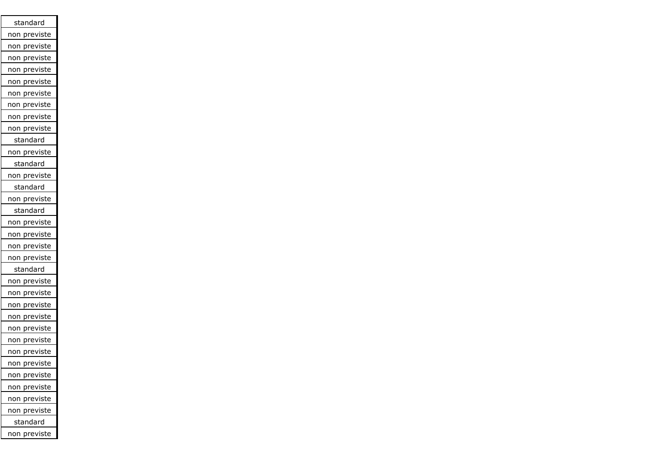| standard               |
|------------------------|
| previste<br>non        |
| previste<br>non        |
| previste<br>non        |
| previste<br>non        |
| previste<br>non        |
| previste<br>non        |
| previste<br>non        |
| previste<br>non        |
| non previste           |
| standard               |
| non previste           |
| standard               |
| non previste           |
| standard               |
| non previste           |
| standard               |
| non previste           |
| non previste           |
| non previste           |
| non previste           |
| standard               |
| previste<br>non        |
| previste<br>non        |
| previste<br>non        |
| previste<br>non        |
| previste<br>non        |
| previste<br>non        |
| <u>previste</u><br>non |
| non previste           |
| previste<br>non        |
| previste<br>non        |
| previste<br>non        |
| non previste           |
| standard               |
| ion previste<br>r      |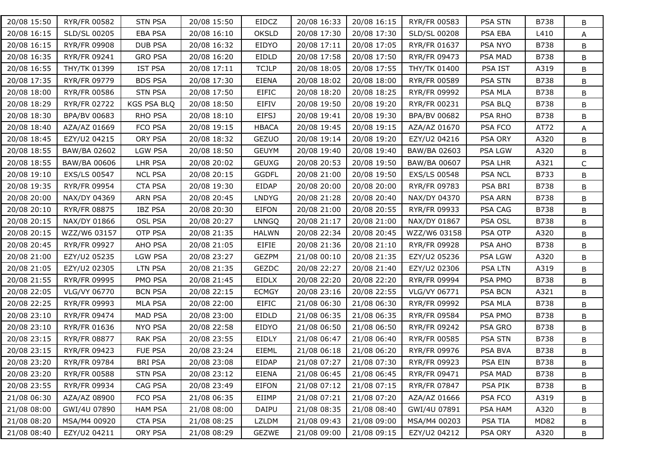| 20/08 15:50 | RYR/FR 00582        | <b>STN PSA</b> | 20/08 15:50 | EIDCZ        | 20/08 16:33 | 20/08 16:15 | RYR/FR 00583        | PSA STN        | B738        | B |
|-------------|---------------------|----------------|-------------|--------------|-------------|-------------|---------------------|----------------|-------------|---|
| 20/08 16:15 | SLD/SL 00205        | <b>EBA PSA</b> | 20/08 16:10 | <b>OKSLD</b> | 20/08 17:30 | 20/08 17:30 | SLD/SL 00208        | PSA EBA        | L410        | A |
| 20/08 16:15 | RYR/FR 09908        | <b>DUB PSA</b> | 20/08 16:32 | EIDYO        | 20/08 17:11 | 20/08 17:05 | RYR/FR 01637        | PSA NYO        | B738        | B |
| 20/08 16:35 | RYR/FR 09241        | <b>GRO PSA</b> | 20/08 16:20 | <b>EIDLD</b> | 20/08 17:58 | 20/08 17:50 | RYR/FR 09473        | PSA MAD        | B738        | B |
| 20/08 16:55 | THY/TK 01399        | <b>IST PSA</b> | 20/08 17:11 | <b>TCJLP</b> | 20/08 18:05 | 20/08 17:55 | <b>THY/TK 01400</b> | PSA IST        | A319        | B |
| 20/08 17:35 | RYR/FR 09779        | <b>BDS PSA</b> | 20/08 17:30 | <b>EIENA</b> | 20/08 18:02 | 20/08 18:00 | RYR/FR 00589        | PSA STN        | B738        | B |
| 20/08 18:00 | <b>RYR/FR 00586</b> | <b>STN PSA</b> | 20/08 17:50 | <b>EIFIC</b> | 20/08 18:20 | 20/08 18:25 | RYR/FR 09992        | PSA MLA        | B738        | B |
| 20/08 18:29 | <b>RYR/FR 02722</b> | KGS PSA BLQ    | 20/08 18:50 | EIFIV        | 20/08 19:50 | 20/08 19:20 | RYR/FR 00231        | PSA BLQ        | B738        | B |
| 20/08 18:30 | BPA/BV 00683        | RHO PSA        | 20/08 18:10 | <b>EIFSJ</b> | 20/08 19:41 | 20/08 19:30 | BPA/BV 00682        | PSA RHO        | <b>B738</b> | B |
| 20/08 18:40 | AZA/AZ 01669        | FCO PSA        | 20/08 19:15 | <b>HBACA</b> | 20/08 19:45 | 20/08 19:15 | AZA/AZ 01670        | PSA FCO        | AT72        | A |
| 20/08 18:45 | EZY/U2 04215        | ORY PSA        | 20/08 18:32 | <b>GEZUO</b> | 20/08 19:14 | 20/08 19:20 | EZY/U2 04216        | PSA ORY        | A320        | В |
| 20/08 18:55 | BAW/BA 02602        | <b>LGW PSA</b> | 20/08 18:50 | <b>GEUYM</b> | 20/08 19:40 | 20/08 19:40 | BAW/BA 02603        | PSA LGW        | A320        | B |
| 20/08 18:55 | BAW/BA 00606        | LHR PSA        | 20/08 20:02 | <b>GEUXG</b> | 20/08 20:53 | 20/08 19:50 | BAW/BA 00607        | PSA LHR        | A321        | C |
| 20/08 19:10 | EXS/LS 00547        | <b>NCL PSA</b> | 20/08 20:15 | <b>GGDFL</b> | 20/08 21:00 | 20/08 19:50 | EXS/LS 00548        | <b>PSA NCL</b> | B733        | B |
| 20/08 19:35 | <b>RYR/FR 09954</b> | <b>CTA PSA</b> | 20/08 19:30 | EIDAP        | 20/08 20:00 | 20/08 20:00 | RYR/FR 09783        | PSA BRI        | B738        | B |
| 20/08 20:00 | NAX/DY 04369        | <b>ARN PSA</b> | 20/08 20:45 | <b>LNDYG</b> | 20/08 21:28 | 20/08 20:40 | NAX/DY 04370        | PSA ARN        | B738        | B |
| 20/08 20:10 | RYR/FR 08875        | <b>IBZ PSA</b> | 20/08 20:30 | <b>EIFON</b> | 20/08 21:00 | 20/08 20:55 | RYR/FR 09933        | PSA CAG        | B738        | B |
| 20/08 20:15 | NAX/DY 01866        | OSL PSA        | 20/08 20:27 | LNNGQ        | 20/08 21:17 | 20/08 21:00 | NAX/DY 01867        | PSA OSL        | B738        | B |
| 20/08 20:15 | WZZ/W6 03157        | OTP PSA        | 20/08 21:35 | <b>HALWN</b> | 20/08 22:34 | 20/08 20:45 | WZZ/W6 03158        | PSA OTP        | A320        | B |
| 20/08 20:45 | RYR/FR 09927        | AHO PSA        | 20/08 21:05 | EIFIE        | 20/08 21:36 | 20/08 21:10 | RYR/FR 09928        | PSA AHO        | <b>B738</b> | B |
| 20/08 21:00 | EZY/U2 05235        | <b>LGW PSA</b> | 20/08 23:27 | <b>GEZPM</b> | 21/08 00:10 | 20/08 21:35 | EZY/U2 05236        | <b>PSA LGW</b> | A320        | B |
| 20/08 21:05 | EZY/U2 02305        | <b>LTN PSA</b> | 20/08 21:35 | <b>GEZDC</b> | 20/08 22:27 | 20/08 21:40 | EZY/U2 02306        | <b>PSA LTN</b> | A319        | B |
| 20/08 21:55 | RYR/FR 09995        | PMO PSA        | 20/08 21:45 | EIDLX        | 20/08 22:20 | 20/08 22:20 | RYR/FR 09994        | PSA PMO        | B738        | B |
| 20/08 22:05 | VLG/VY 06770        | <b>BCN PSA</b> | 20/08 22:15 | <b>ECMGY</b> | 20/08 23:16 | 20/08 22:55 | VLG/VY 06771        | PSA BCN        | A321        | B |
| 20/08 22:25 | RYR/FR 09993        | <b>MLA PSA</b> | 20/08 22:00 | <b>EIFIC</b> | 21/08 06:30 | 21/08 06:30 | RYR/FR 09992        | PSA MLA        | B738        | B |
| 20/08 23:10 | <b>RYR/FR 09474</b> | MAD PSA        | 20/08 23:00 | EIDLD        | 21/08 06:35 | 21/08 06:35 | RYR/FR 09584        | PSA PMO        | <b>B738</b> | B |
| 20/08 23:10 | RYR/FR 01636        | <b>NYO PSA</b> | 20/08 22:58 | EIDYO        | 21/08 06:50 | 21/08 06:50 | RYR/FR 09242        | PSA GRO        | B738        | B |
| 20/08 23:15 | <b>RYR/FR 08877</b> | <b>RAK PSA</b> | 20/08 23:55 | EIDLY        | 21/08 06:47 | 21/08 06:40 | RYR/FR 00585        | PSA STN        | B738        | B |
| 20/08 23:15 | <b>RYR/FR 09423</b> | FUE PSA        | 20/08 23:24 | EIEML        | 21/08 06:18 | 21/08 06:20 | RYR/FR 09976        | PSA BVA        | B738        | B |
| 20/08 23:20 | RYR/FR 09784        | <b>BRI PSA</b> | 20/08 23:08 | EIDAP        | 21/08 07:27 | 21/08 07:30 | RYR/FR 09923        | <b>PSA EIN</b> | B738        | В |
| 20/08 23:20 | RYR/FR 00588        | <b>STN PSA</b> | 20/08 23:12 | <b>EIENA</b> | 21/08 06:45 | 21/08 06:45 | RYR/FR 09471        | PSA MAD        | B738        | B |
| 20/08 23:55 | RYR/FR 09934        | CAG PSA        | 20/08 23:49 | EIFON        | 21/08 07:12 | 21/08 07:15 | RYR/FR 07847        | PSA PIK        | B738        | B |
| 21/08 06:30 | AZA/AZ 08900        | FCO PSA        | 21/08 06:35 | EIIMP        | 21/08 07:21 | 21/08 07:20 | AZA/AZ 01666        | PSA FCO        | A319        | B |
| 21/08 08:00 | GWI/4U 07890        | <b>HAM PSA</b> | 21/08 08:00 | DAIPU        | 21/08 08:35 | 21/08 08:40 | GWI/4U 07891        | PSA HAM        | A320        | B |
| 21/08 08:20 | MSA/M4 00920        | <b>CTA PSA</b> | 21/08 08:25 | LZLDM        | 21/08 09:43 | 21/08 09:00 | MSA/M4 00203        | PSA TIA        | <b>MD82</b> | В |
| 21/08 08:40 | EZY/U2 04211        | ORY PSA        | 21/08 08:29 | GEZWE        | 21/08 09:00 | 21/08 09:15 | EZY/U2 04212        | PSA ORY        | A320        | В |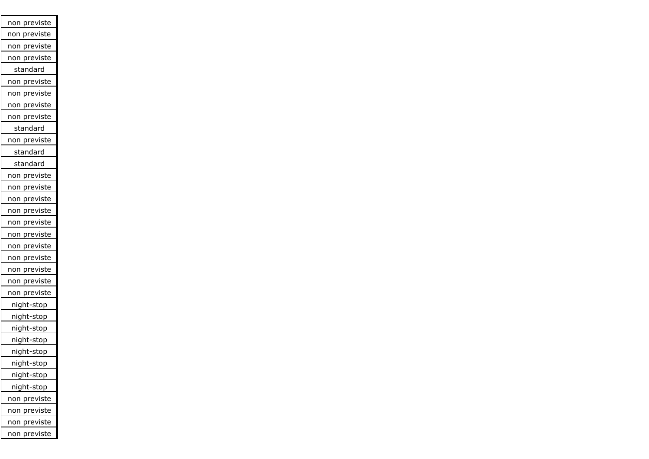| previste<br>non      |
|----------------------|
| previste<br>non      |
| previste<br>non      |
| previste<br>non      |
| standard             |
| non previste         |
| non previste         |
| <u>non pre</u> viste |
| non previste         |
| standard             |
| non previste         |
| standard             |
| standard             |
| non previste         |
| non previste         |
| non previste         |
| previste<br>non      |
| non previste         |
| previste<br>non      |
| previste<br>non      |
| previste<br>non      |
| non previste         |
| previste<br>non      |
| non previste         |
| night-stop           |
| night-stop           |
| night-stop           |
| night-stop           |
| night-stop           |
| night-stop           |
| night-stop           |
| night-stop           |
| previste<br>non      |
| non previste         |
| non previste         |
| previste<br>non      |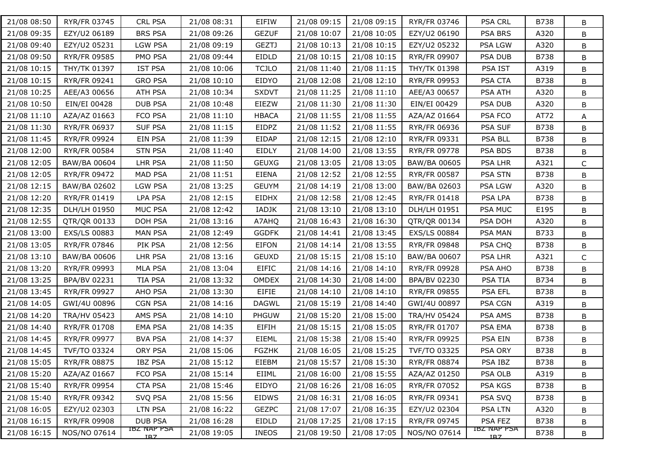| 21/08 08:50 | RYR/FR 03745        | <b>CRL PSA</b>                 | 21/08 08:31 | EIFIW        | 21/08 09:15 | 21/08 09:15 | RYR/FR 03746        | <b>PSA CRL</b>                 | B738        | B            |
|-------------|---------------------|--------------------------------|-------------|--------------|-------------|-------------|---------------------|--------------------------------|-------------|--------------|
| 21/08 09:35 | EZY/U2 06189        | <b>BRS PSA</b>                 | 21/08 09:26 | <b>GEZUF</b> | 21/08 10:07 | 21/08 10:05 | EZY/U2 06190        | PSA BRS                        | A320        | B            |
| 21/08 09:40 | EZY/U2 05231        | <b>LGW PSA</b>                 | 21/08 09:19 | <b>GEZTJ</b> | 21/08 10:13 | 21/08 10:15 | EZY/U2 05232        | PSA LGW                        | A320        | B            |
| 21/08 09:50 | RYR/FR 09585        | PMO PSA                        | 21/08 09:44 | <b>EIDLD</b> | 21/08 10:15 | 21/08 10:15 | RYR/FR 09907        | <b>PSA DUB</b>                 | <b>B738</b> | B            |
| 21/08 10:15 | THY/TK 01397        | <b>IST PSA</b>                 | 21/08 10:06 | <b>TCJLO</b> | 21/08 11:40 | 21/08 11:15 | THY/TK 01398        | PSA IST                        | A319        | B            |
| 21/08 10:15 | <b>RYR/FR 09241</b> | <b>GRO PSA</b>                 | 21/08 10:10 | EIDYO        | 21/08 12:08 | 21/08 12:10 | RYR/FR 09953        | PSA CTA                        | <b>B738</b> | B            |
| 21/08 10:25 | AEE/A3 00656        | ATH PSA                        | 21/08 10:34 | <b>SXDVT</b> | 21/08 11:25 | 21/08 11:10 | AEE/A3 00657        | PSA ATH                        | A320        | B            |
| 21/08 10:50 | EIN/EI 00428        | <b>DUB PSA</b>                 | 21/08 10:48 | EIEZW        | 21/08 11:30 | 21/08 11:30 | EIN/EI 00429        | PSA DUB                        | A320        | B            |
| 21/08 11:10 | AZA/AZ 01663        | FCO PSA                        | 21/08 11:10 | <b>HBACA</b> | 21/08 11:55 | 21/08 11:55 | AZA/AZ 01664        | PSA FCO                        | AT72        | A            |
| 21/08 11:30 | RYR/FR 06937        | <b>SUF PSA</b>                 | 21/08 11:15 | EIDPZ        | 21/08 11:52 | 21/08 11:55 | RYR/FR 06936        | PSA SUF                        | <b>B738</b> | B            |
| 21/08 11:45 | RYR/FR 09924        | EIN PSA                        | 21/08 11:39 | EIDAP        | 21/08 12:15 | 21/08 12:10 | RYR/FR 09331        | PSA BLL                        | B738        | B            |
| 21/08 12:00 | RYR/FR 00584        | <b>STN PSA</b>                 | 21/08 11:40 | EIDLY        | 21/08 14:00 | 21/08 13:55 | RYR/FR 09778        | PSA BDS                        | B738        | B            |
| 21/08 12:05 | <b>BAW/BA 00604</b> | LHR PSA                        | 21/08 11:50 | <b>GEUXG</b> | 21/08 13:05 | 21/08 13:05 | BAW/BA 00605        | PSA LHR                        | A321        | $\mathsf{C}$ |
| 21/08 12:05 | <b>RYR/FR 09472</b> | <b>MAD PSA</b>                 | 21/08 11:51 | <b>EIENA</b> | 21/08 12:52 | 21/08 12:55 | RYR/FR 00587        | PSA STN                        | B738        | B            |
| 21/08 12:15 | BAW/BA 02602        | <b>LGW PSA</b>                 | 21/08 13:25 | <b>GEUYM</b> | 21/08 14:19 | 21/08 13:00 | BAW/BA 02603        | PSA LGW                        | A320        | B            |
| 21/08 12:20 | RYR/FR 01419        | <b>LPA PSA</b>                 | 21/08 12:15 | EIDHX        | 21/08 12:58 | 21/08 12:45 | RYR/FR 01418        | PSA LPA                        | B738        | B            |
| 21/08 12:35 | DLH/LH 01950        | MUC PSA                        | 21/08 12:42 | IADJK        | 21/08 13:10 | 21/08 13:10 | DLH/LH 01951        | <b>PSA MUC</b>                 | E195        | B            |
| 21/08 12:55 | QTR/QR 00133        | DOH PSA                        | 21/08 13:16 | A7AHQ        | 21/08 16:43 | 21/08 16:30 | QTR/QR 00134        | PSA DOH                        | A320        | B            |
| 21/08 13:00 | EXS/LS 00883        | <b>MAN PSA</b>                 | 21/08 12:49 | <b>GGDFK</b> | 21/08 14:41 | 21/08 13:45 | <b>EXS/LS 00884</b> | PSA MAN                        | B733        | B            |
| 21/08 13:05 | RYR/FR 07846        | PIK PSA                        | 21/08 12:56 | <b>EIFON</b> | 21/08 14:14 | 21/08 13:55 | <b>RYR/FR 09848</b> | PSA CHQ                        | <b>B738</b> | B            |
| 21/08 13:10 | BAW/BA 00606        | LHR PSA                        | 21/08 13:16 | <b>GEUXD</b> | 21/08 15:15 | 21/08 15:10 | BAW/BA 00607        | <b>PSA LHR</b>                 | A321        | $\mathsf{C}$ |
| 21/08 13:20 | RYR/FR 09993        | MLA PSA                        | 21/08 13:04 | <b>EIFIC</b> | 21/08 14:16 | 21/08 14:10 | RYR/FR 09928        | PSA AHO                        | B738        | B            |
| 21/08 13:25 | BPA/BV 02231        | <b>TIA PSA</b>                 | 21/08 13:32 | <b>OMDEX</b> | 21/08 14:30 | 21/08 14:00 | BPA/BV 02230        | <b>PSA TIA</b>                 | B734        | B            |
| 21/08 13:45 | RYR/FR 09927        | AHO PSA                        | 21/08 13:30 | EIFIE        | 21/08 14:10 | 21/08 14:10 | RYR/FR 09855        | PSA EFL                        | <b>B738</b> | B            |
| 21/08 14:05 | GWI/4U 00896        | <b>CGN PSA</b>                 | 21/08 14:16 | <b>DAGWL</b> | 21/08 15:19 | 21/08 14:40 | GWI/4U 00897        | PSA CGN                        | A319        | B            |
| 21/08 14:20 | <b>TRA/HV 05423</b> | AMS PSA                        | 21/08 14:10 | PHGUW        | 21/08 15:20 | 21/08 15:00 | <b>TRA/HV 05424</b> | PSA AMS                        | <b>B738</b> | B            |
| 21/08 14:40 | RYR/FR 01708        | <b>EMA PSA</b>                 | 21/08 14:35 | <b>EIFIH</b> | 21/08 15:15 | 21/08 15:05 | RYR/FR 01707        | PSA EMA                        | B738        | B            |
| 21/08 14:45 | <b>RYR/FR 09977</b> | <b>BVA PSA</b>                 | 21/08 14:37 | <b>EIEML</b> | 21/08 15:38 | 21/08 15:40 | RYR/FR 09925        | PSA EIN                        | <b>B738</b> | B            |
| 21/08 14:45 | TVF/TO 03324        | ORY PSA                        | 21/08 15:06 | <b>FGZHK</b> | 21/08 16:05 | 21/08 15:25 | TVF/TO 03325        | PSA ORY                        | <b>B738</b> | B            |
| 21/08 15:05 | RYR/FR 08875        | <b>IBZ PSA</b>                 | 21/08 15:12 | EIEBM        | 21/08 15:57 | 21/08 15:30 | RYR/FR 08874        | PSA IBZ                        | B738        | В            |
| 21/08 15:20 | AZA/AZ 01667        | FCO PSA                        | 21/08 15:14 | EIIML        | 21/08 16:00 | 21/08 15:55 | AZA/AZ 01250        | PSA OLB                        | A319        | В            |
| 21/08 15:40 | RYR/FR 09954        | <b>CTA PSA</b>                 | 21/08 15:46 | EIDYO        | 21/08 16:26 | 21/08 16:05 | RYR/FR 07052        | PSA KGS                        | B738        | B            |
| 21/08 15:40 | RYR/FR 09342        | SVQ PSA                        | 21/08 15:56 | <b>EIDWS</b> | 21/08 16:31 | 21/08 16:05 | RYR/FR 09341        | PSA SVQ                        | <b>B738</b> | B            |
| 21/08 16:05 | EZY/U2 02303        | <b>LTN PSA</b>                 | 21/08 16:22 | <b>GEZPC</b> | 21/08 17:07 | 21/08 16:35 | EZY/U2 02304        | <b>PSA LTN</b>                 | A320        | B            |
| 21/08 16:15 | RYR/FR 09908        | DUB PSA                        | 21/08 16:28 | EIDLD        | 21/08 17:25 | 21/08 17:15 | RYR/FR 09745        | PSA FEZ                        | <b>B738</b> | В            |
| 21/08 16:15 | NOS/NO 07614        | IBZ NAP PSA<br>IB <sub>7</sub> | 21/08 19:05 | <b>INEOS</b> | 21/08 19:50 | 21/08 17:05 | NOS/NO 07614        | IBZ NAP PSA<br>IB <sub>7</sub> | <b>B738</b> | B            |
|             |                     |                                |             |              |             |             |                     |                                |             |              |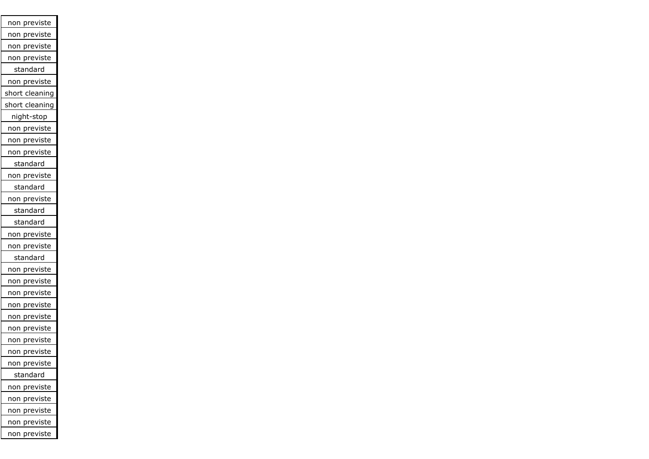| non previste            |
|-------------------------|
| non previste            |
| non previste            |
| non previste            |
| standard                |
| non previste            |
| short cleaning          |
| short cleaning          |
| night-stop              |
| <u>non previste</u>     |
| non previste            |
| non previste            |
| standard                |
| non previste            |
| standard                |
| non previste            |
| standard                |
| standard                |
| non previste            |
| non previste            |
| standard                |
| non previste            |
| previste<br>non         |
| previste<br>non         |
| <u>pre</u> viste<br>non |
| previste<br>non         |
| previste<br>non         |
| previste<br>non         |
| previste<br>non         |
| non previste            |
| standard                |
| non previste            |
| previste<br>non         |
| previste<br>non         |
| previste<br>non         |
| previste<br>non         |
|                         |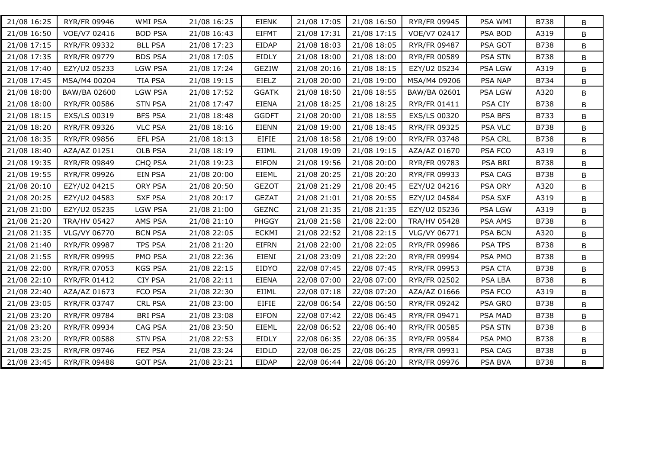| 21/08 16:25 | RYR/FR 09946        | WMI PSA        | 21/08 16:25 | EIENK        | 21/08 17:05 | 21/08 16:50 | RYR/FR 09945        | PSA WMI        | B738        | B       |
|-------------|---------------------|----------------|-------------|--------------|-------------|-------------|---------------------|----------------|-------------|---------|
| 21/08 16:50 | VOE/V7 02416        | <b>BOD PSA</b> | 21/08 16:43 | <b>EIFMT</b> | 21/08 17:31 | 21/08 17:15 | VOE/V7 02417        | PSA BOD        | A319        | B       |
| 21/08 17:15 | RYR/FR 09332        | <b>BLL PSA</b> | 21/08 17:23 | EIDAP        | 21/08 18:03 | 21/08 18:05 | RYR/FR 09487        | PSA GOT        | B738        | B       |
| 21/08 17:35 | RYR/FR 09779        | <b>BDS PSA</b> | 21/08 17:05 | EIDLY        | 21/08 18:00 | 21/08 18:00 | RYR/FR 00589        | <b>PSA STN</b> | B738        | B       |
| 21/08 17:40 | EZY/U2 05233        | <b>LGW PSA</b> | 21/08 17:24 | <b>GEZIW</b> | 21/08 20:16 | 21/08 18:15 | EZY/U2 05234        | PSA LGW        | A319        | B       |
| 21/08 17:45 | MSA/M4 00204        | TIA PSA        | 21/08 19:15 | EIELZ        | 21/08 20:00 | 21/08 19:00 | MSA/M4 09206        | PSA NAP        | B734        | B       |
| 21/08 18:00 | BAW/BA 02600        | <b>LGW PSA</b> | 21/08 17:52 | <b>GGATK</b> | 21/08 18:50 | 21/08 18:55 | BAW/BA 02601        | PSA LGW        | A320        | B       |
| 21/08 18:00 | RYR/FR 00586        | <b>STN PSA</b> | 21/08 17:47 | <b>EIENA</b> | 21/08 18:25 | 21/08 18:25 | RYR/FR 01411        | PSA CIY        | B738        | B       |
| 21/08 18:15 | EXS/LS 00319        | <b>BFS PSA</b> | 21/08 18:48 | <b>GGDFT</b> | 21/08 20:00 | 21/08 18:55 | EXS/LS 00320        | PSA BFS        | B733        | B       |
| 21/08 18:20 | RYR/FR 09326        | <b>VLC PSA</b> | 21/08 18:16 | EIENN        | 21/08 19:00 | 21/08 18:45 | RYR/FR 09325        | PSA VLC        | B738        | B       |
| 21/08 18:35 | RYR/FR 09856        | EFL PSA        | 21/08 18:13 | <b>EIFIE</b> | 21/08 18:58 | 21/08 19:00 | RYR/FR 03748        | <b>PSA CRL</b> | <b>B738</b> | B       |
| 21/08 18:40 | AZA/AZ 01251        | OLB PSA        | 21/08 18:19 | EIIML        | 21/08 19:09 | 21/08 19:15 | AZA/AZ 01670        | PSA FCO        | A319        | B       |
| 21/08 19:35 | RYR/FR 09849        | CHQ PSA        | 21/08 19:23 | <b>EIFON</b> | 21/08 19:56 | 21/08 20:00 | RYR/FR 09783        | PSA BRI        | B738        | B       |
| 21/08 19:55 | RYR/FR 09926        | EIN PSA        | 21/08 20:00 | <b>EIEML</b> | 21/08 20:25 | 21/08 20:20 | RYR/FR 09933        | PSA CAG        | <b>B738</b> | B       |
| 21/08 20:10 | EZY/U2 04215        | ORY PSA        | 21/08 20:50 | <b>GEZOT</b> | 21/08 21:29 | 21/08 20:45 | EZY/U2 04216        | PSA ORY        | A320        | B       |
| 21/08 20:25 | EZY/U2 04583        | <b>SXF PSA</b> | 21/08 20:17 | <b>GEZAT</b> | 21/08 21:01 | 21/08 20:55 | EZY/U2 04584        | PSA SXF        | A319        | B       |
| 21/08 21:00 | EZY/U2 05235        | <b>LGW PSA</b> | 21/08 21:00 | <b>GEZNC</b> | 21/08 21:35 | 21/08 21:35 | EZY/U2 05236        | PSA LGW        | A319        | B       |
| 21/08 21:20 | <b>TRA/HV 05427</b> | AMS PSA        | 21/08 21:10 | <b>PHGGY</b> | 21/08 21:58 | 21/08 22:00 | <b>TRA/HV 05428</b> | PSA AMS        | B738        | B       |
| 21/08 21:35 | VLG/VY 06770        | <b>BCN PSA</b> | 21/08 22:05 | <b>ECKMI</b> | 21/08 22:52 | 21/08 22:15 | VLG/VY 06771        | <b>PSA BCN</b> | A320        | B       |
| 21/08 21:40 | RYR/FR 09987        | <b>TPS PSA</b> | 21/08 21:20 | <b>EIFRN</b> | 21/08 22:00 | 21/08 22:05 | RYR/FR 09986        | PSA TPS        | B738        | B       |
| 21/08 21:55 | RYR/FR 09995        | PMO PSA        | 21/08 22:36 | EIENI        | 21/08 23:09 | 21/08 22:20 | RYR/FR 09994        | PSA PMO        | B738        | B       |
| 21/08 22:00 | RYR/FR 07053        | <b>KGS PSA</b> | 21/08 22:15 | EIDYO        | 22/08 07:45 | 22/08 07:45 | RYR/FR 09953        | PSA CTA        | B738        | $\sf B$ |
| 21/08 22:10 | <b>RYR/FR 01412</b> | <b>CIY PSA</b> | 21/08 22:11 | <b>EIENA</b> | 22/08 07:00 | 22/08 07:00 | RYR/FR 02502        | PSA LBA        | B738        | B       |
| 21/08 22:40 | AZA/AZ 01673        | FCO PSA        | 21/08 22:30 | EIIML        | 22/08 07:18 | 22/08 07:20 | AZA/AZ 01666        | PSA FCO        | A319        | B       |
| 21/08 23:05 | RYR/FR 03747        | <b>CRL PSA</b> | 21/08 23:00 | <b>EIFIE</b> | 22/08 06:54 | 22/08 06:50 | RYR/FR 09242        | PSA GRO        | B738        | B       |
| 21/08 23:20 | RYR/FR 09784        | <b>BRI PSA</b> | 21/08 23:08 | <b>EIFON</b> | 22/08 07:42 | 22/08 06:45 | RYR/FR 09471        | PSA MAD        | B738        | B       |
| 21/08 23:20 | RYR/FR 09934        | CAG PSA        | 21/08 23:50 | <b>EIEML</b> | 22/08 06:52 | 22/08 06:40 | RYR/FR 00585        | <b>PSA STN</b> | B738        | B       |
| 21/08 23:20 | <b>RYR/FR 00588</b> | <b>STN PSA</b> | 21/08 22:53 | EIDLY        | 22/08 06:35 | 22/08 06:35 | RYR/FR 09584        | PSA PMO        | <b>B738</b> | B       |
| 21/08 23:25 | RYR/FR 09746        | FEZ PSA        | 21/08 23:24 | EIDLD        | 22/08 06:25 | 22/08 06:25 | RYR/FR 09931        | PSA CAG        | B738        | B       |
| 21/08 23:45 | <b>RYR/FR 09488</b> | <b>GOT PSA</b> | 21/08 23:21 | <b>EIDAP</b> | 22/08 06:44 | 22/08 06:20 | RYR/FR 09976        | PSA BVA        | B738        | B       |